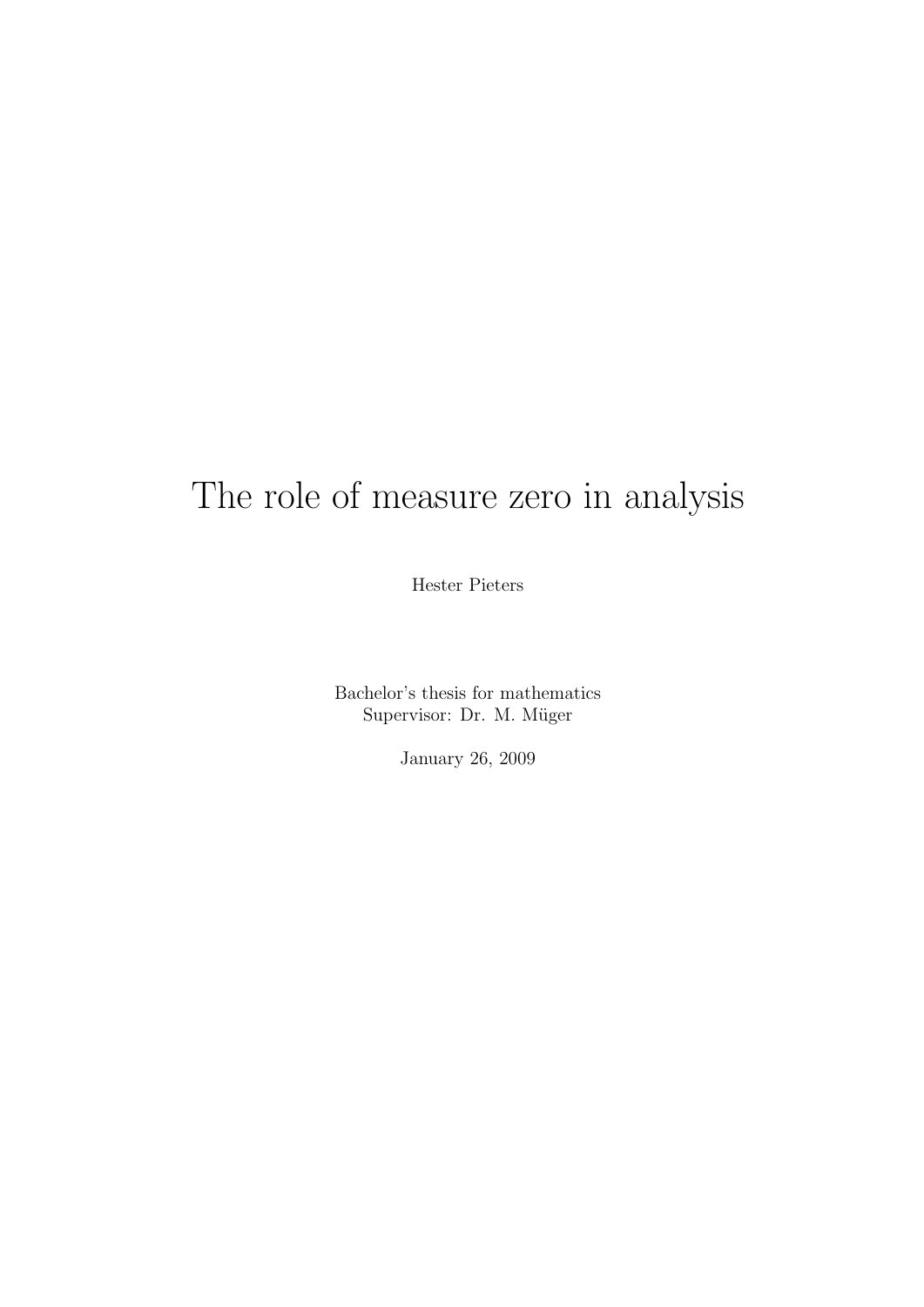# The role of measure zero in analysis

Hester Pieters

Bachelor's thesis for mathematics Supervisor: Dr. M. Müger

January 26, 2009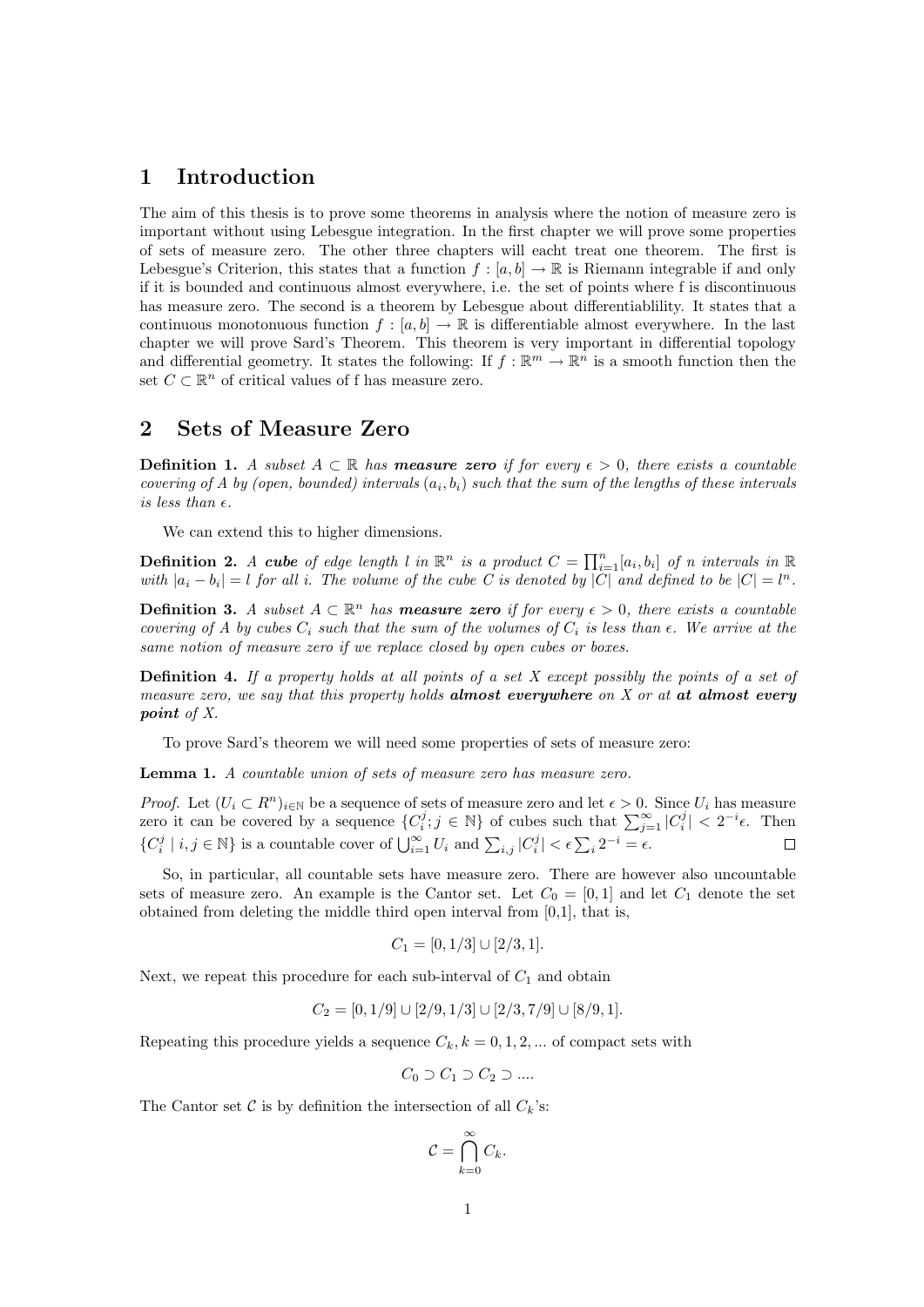#### 1 Introduction

The aim of this thesis is to prove some theorems in analysis where the notion of measure zero is important without using Lebesgue integration. In the first chapter we will prove some properties of sets of measure zero. The other three chapters will eacht treat one theorem. The first is Lebesgue's Criterion, this states that a function  $f : [a, b] \to \mathbb{R}$  is Riemann integrable if and only if it is bounded and continuous almost everywhere, i.e. the set of points where f is discontinuous has measure zero. The second is a theorem by Lebesgue about differentiablility. It states that a continuous monotonuous function  $f : [a, b] \to \mathbb{R}$  is differentiable almost everywhere. In the last chapter we will prove Sard's Theorem. This theorem is very important in differential topology and differential geometry. It states the following: If  $f : \mathbb{R}^m \to \mathbb{R}^n$  is a smooth function then the set  $C \subset \mathbb{R}^n$  of critical values of f has measure zero.

## 2 Sets of Measure Zero

**Definition 1.** A subset  $A \subset \mathbb{R}$  has **measure zero** if for every  $\epsilon > 0$ , there exists a countable covering of A by (open, bounded) intervals  $(a_i, b_i)$  such that the sum of the lengths of these intervals is less than  $\epsilon$ .

We can extend this to higher dimensions.

**Definition 2.** A cube of edge length l in  $\mathbb{R}^n$  is a product  $C = \prod_{i=1}^n [a_i, b_i]$  of n intervals in  $\mathbb{R}$ with  $|a_i - b_i| = l$  for all i. The volume of the cube C is denoted by |C| and defined to be  $|C| = l^n$ .

**Definition 3.** A subset  $A \subset \mathbb{R}^n$  has **measure zero** if for every  $\epsilon > 0$ , there exists a countable covering of A by cubes  $C_i$  such that the sum of the volumes of  $C_i$  is less than  $\epsilon$ . We arrive at the same notion of measure zero if we replace closed by open cubes or boxes.

Definition 4. If a property holds at all points of a set X except possibly the points of a set of measure zero, we say that this property holds **almost everywhere** on  $X$  or at **at almost every** point of X.

To prove Sard's theorem we will need some properties of sets of measure zero:

Lemma 1. A countable union of sets of measure zero has measure zero.

*Proof.* Let  $(U_i \subset R^n)_{i\in\mathbb{N}}$  be a sequence of sets of measure zero and let  $\epsilon > 0$ . Since  $U_i$  has measure zero it can be covered by a sequence  $\{C_i^j; j \in \mathbb{N}\}\$  of cubes such that  $\sum_{j=1}^{\infty} |C_i^j| < 2^{-i}\epsilon$ . Then  $\{C_i^j \mid i,j \in \mathbb{N}\}\$ is a countable cover of  $\bigcup_{i=1}^{\infty} U_i$  and  $\sum_{i,j} |C_i^j| < \epsilon \sum_i 2^{-i} = \epsilon$ .  $\Box$ 

So, in particular, all countable sets have measure zero. There are however also uncountable sets of measure zero. An example is the Cantor set. Let  $C_0 = [0,1]$  and let  $C_1$  denote the set obtained from deleting the middle third open interval from [0,1], that is,

$$
C_1 = [0, 1/3] \cup [2/3, 1].
$$

Next, we repeat this procedure for each sub-interval of  $C_1$  and obtain

$$
C_2 = [0, 1/9] \cup [2/9, 1/3] \cup [2/3, 7/9] \cup [8/9, 1].
$$

Repeating this procedure yields a sequence  $C_k$ ,  $k = 0, 1, 2, ...$  of compact sets with

 $C_0 \supset C_1 \supset C_2 \supset \dots$ 

The Cantor set C is by definition the intersection of all  $C_k$ 's:

$$
\mathcal{C} = \bigcap_{k=0}^{\infty} C_k.
$$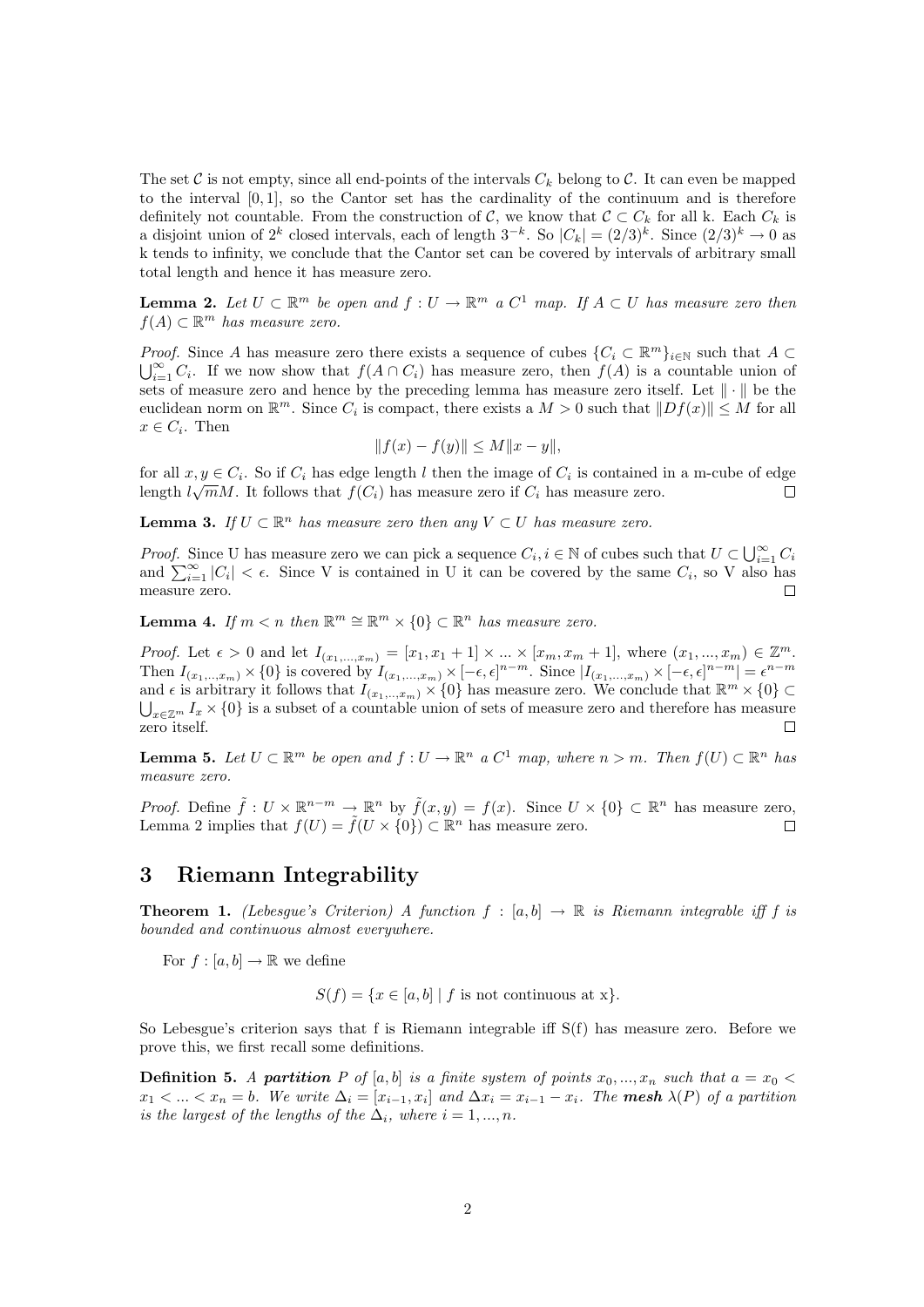The set C is not empty, since all end-points of the intervals  $C_k$  belong to C. It can even be mapped to the interval [0, 1], so the Cantor set has the cardinality of the continuum and is therefore definitely not countable. From the construction of C, we know that  $C \subset C_k$  for all k. Each  $C_k$  is a disjoint union of  $2^k$  closed intervals, each of length  $3^{-k}$ . So  $|C_k| = (2/3)^k$ . Since  $(2/3)^k \to 0$  as k tends to infinity, we conclude that the Cantor set can be covered by intervals of arbitrary small total length and hence it has measure zero.

**Lemma 2.** Let  $U \subset \mathbb{R}^m$  be open and  $f: U \to \mathbb{R}^m$  a  $C^1$  map. If  $A \subset U$  has measure zero then  $f(A) \subset \mathbb{R}^m$  has measure zero.

*Proof.* Since A has measure zero there exists a sequence of cubes  $\{C_i \subset \mathbb{R}^m\}_{i\in\mathbb{N}}$  such that  $A \subset$  $\bigcup_{i=1}^{\infty} C_i$ . If we now show that  $f(A \cap C_i)$  has measure zero, then  $f(A)$  is a countable union of sets of measure zero and hence by the preceding lemma has measure zero itself. Let  $\|\cdot\|$  be the euclidean norm on  $\mathbb{R}^m$ . Since  $C_i$  is compact, there exists a  $M > 0$  such that  $||Df(x)|| \leq M$  for all  $x \in C_i$ . Then

$$
||f(x) - f(y)|| \le M||x - y||,
$$

for all  $x, y \in C_i$ . So if  $C_i$  has edge length l then the image of  $C_i$  is contained in a m-cube of edge length  $l\sqrt{m}M$ . It follows that  $f(C_i)$  has measure zero if  $C_i$  has measure zero.  $\Box$ 

**Lemma 3.** If  $U \subset \mathbb{R}^n$  has measure zero then any  $V \subset U$  has measure zero.

*Proof.* Since U has measure zero we can pick a sequence  $C_i$ ,  $i \in \mathbb{N}$  of cubes such that  $U \subset \bigcup_{i=1}^{\infty} C_i$ and  $\sum_{i=1}^{\infty} |C_i| < \epsilon$ . Since V is contained in U it can be covered by the same  $C_i$ , so V also has measure zero.  $\Box$ 

**Lemma 4.** If  $m < n$  then  $\mathbb{R}^m \cong \mathbb{R}^m \times \{0\} \subset \mathbb{R}^n$  has measure zero.

*Proof.* Let  $\epsilon > 0$  and let  $I_{(x_1,...,x_m)} = [x_1, x_1 + 1] \times ... \times [x_m, x_m + 1]$ , where  $(x_1,...,x_m) \in \mathbb{Z}^m$ . Then  $I_{(x_1, \ldots, x_m)} \times \{0\}$  is covered by  $I_{(x_1, \ldots, x_m)} \times [-\epsilon, \epsilon]^{n-m}$ . Since  $|I_{(x_1, \ldots, x_m)} \times [-\epsilon, \epsilon]^{n-m}| = \epsilon^{n-m}$ and  $\epsilon$  is arbitrary it follows that  $I_{(x_1, ..., x_m)} \times \{0\}$  has measure zero. We conclude that  $\mathbb{R}^m \times \{0\} \subset$  $\bigcup_{x\in\mathbb{Z}^m}I_x\times\{0\}$  is a subset of a countable union of sets of measure zero and therefore has measure zero itself.

**Lemma 5.** Let  $U \subset \mathbb{R}^m$  be open and  $f: U \to \mathbb{R}^n$  a  $C^1$  map, where  $n > m$ . Then  $f(U) \subset \mathbb{R}^n$  has measure zero.

*Proof.* Define  $\tilde{f}: U \times \mathbb{R}^{n-m} \to \mathbb{R}^n$  by  $\tilde{f}(x, y) = f(x)$ . Since  $U \times \{0\} \subset \mathbb{R}^n$  has measure zero, Lemma 2 implies that  $f(U) = \tilde{f}(U \times \{0\}) \subset \mathbb{R}^n$  has measure zero.  $\Box$ 

#### 3 Riemann Integrability

**Theorem 1.** (Lebesque's Criterion) A function  $f : [a, b] \rightarrow \mathbb{R}$  is Riemann integrable iff f is bounded and continuous almost everywhere.

For  $f : [a, b] \to \mathbb{R}$  we define

 $S(f) = \{x \in [a, b] \mid f \text{ is not continuous at } x\}.$ 

So Lebesgue's criterion says that f is Riemann integrable iff S(f) has measure zero. Before we prove this, we first recall some definitions.

**Definition 5.** A partition P of [a, b] is a finite system of points  $x_0, ..., x_n$  such that  $a = x_0$  $x_1 < ... < x_n = b$ . We write  $\Delta_i = [x_{i-1}, x_i]$  and  $\Delta x_i = x_{i-1} - x_i$ . The **mesh**  $\lambda(P)$  of a partition is the largest of the lengths of the  $\Delta_i$ , where  $i = 1, ..., n$ .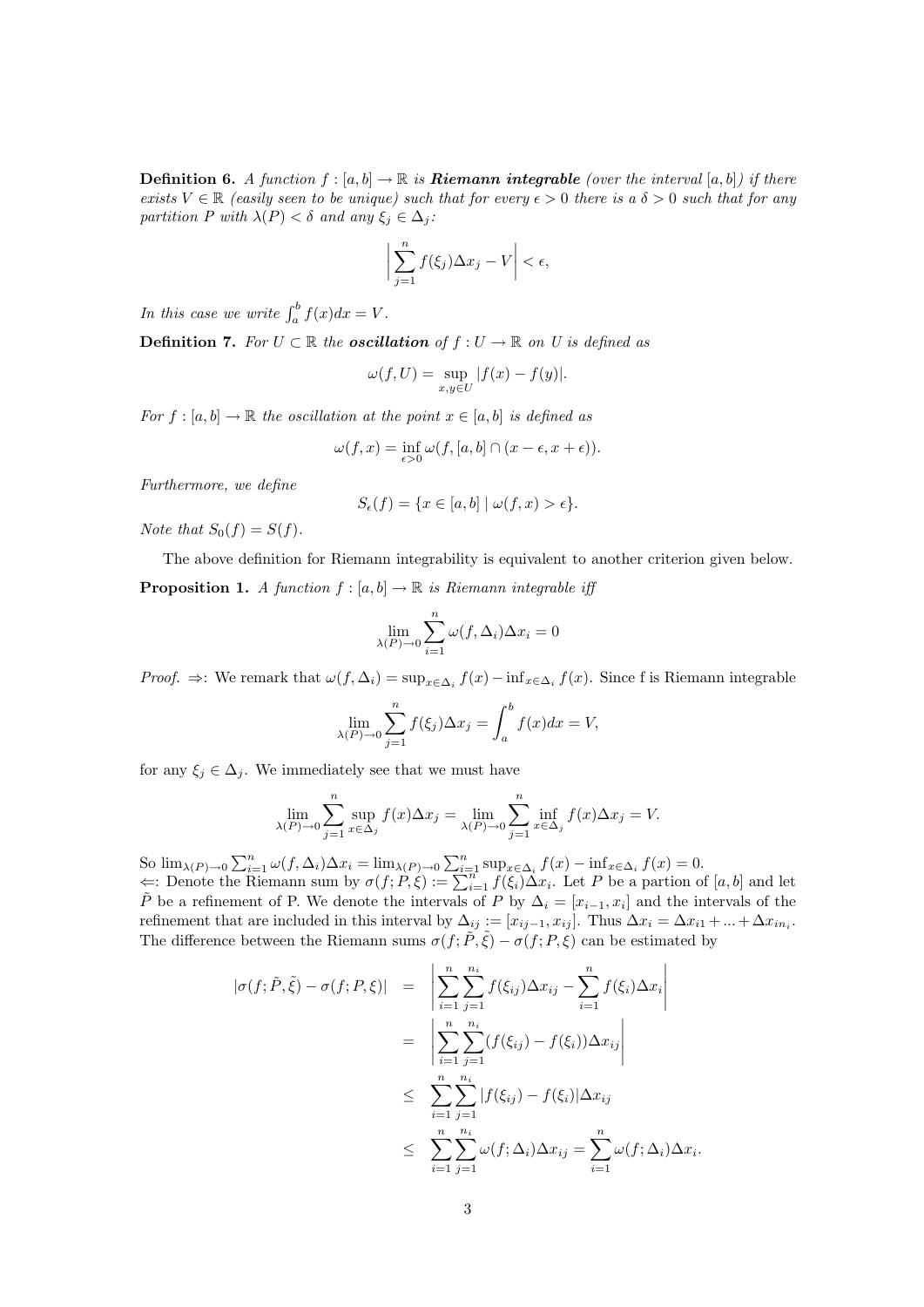**Definition 6.** A function  $f : [a, b] \to \mathbb{R}$  is **Riemann integrable** (over the interval  $[a, b]$ ) if there exists  $V \in \mathbb{R}$  (easily seen to be unique) such that for every  $\epsilon > 0$  there is a  $\delta > 0$  such that for any partition P with  $\lambda(P) < \delta$  and any  $\xi_i \in \Delta_i$ :

$$
\left|\sum_{j=1}^n f(\xi_j) \Delta x_j - V\right| < \epsilon,
$$

In this case we write  $\int_a^b f(x)dx = V$ .

**Definition 7.** For  $U \subset \mathbb{R}$  the **oscillation** of  $f : U \to \mathbb{R}$  on U is defined as

$$
\omega(f, U) = \sup_{x, y \in U} |f(x) - f(y)|.
$$

For  $f : [a, b] \to \mathbb{R}$  the oscillation at the point  $x \in [a, b]$  is defined as

$$
\omega(f,x)=\inf_{\epsilon>0}\omega(f,[a,b]\cap(x-\epsilon,x+\epsilon)).
$$

Furthermore, we define

$$
S_{\epsilon}(f) = \{ x \in [a, b] \mid \omega(f, x) > \epsilon \}.
$$

Note that  $S_0(f) = S(f)$ .

The above definition for Riemann integrability is equivalent to another criterion given below.

**Proposition 1.** A function  $f : [a, b] \to \mathbb{R}$  is Riemann integrable iff

$$
\lim_{\lambda(P)\to 0} \sum_{i=1}^{n} \omega(f, \Delta_i) \Delta x_i = 0
$$

*Proof.*  $\Rightarrow$ : We remark that  $\omega(f, \Delta_i) = \sup_{x \in \Delta_i} f(x) - \inf_{x \in \Delta_i} f(x)$ . Since f is Riemann integrable

$$
\lim_{\lambda(P)\to 0} \sum_{j=1}^n f(\xi_j) \Delta x_j = \int_a^b f(x) dx = V,
$$

for any  $\xi_j \in \Delta_j$ . We immediately see that we must have

$$
\lim_{\lambda(P)\to 0} \sum_{j=1}^n \sup_{x \in \Delta_j} f(x) \Delta x_j = \lim_{\lambda(P)\to 0} \sum_{j=1}^n \inf_{x \in \Delta_j} f(x) \Delta x_j = V.
$$

So  $\lim_{\lambda(P)\to 0} \sum_{i=1}^n \omega(f, \Delta_i) \Delta x_i = \lim_{\lambda(P)\to 0} \sum_{i=1}^n \sup_{x \in \Delta_i} f(x) - \inf_{x \in \Delta_i} f(x) = 0.$  $\Leftarrow$ : Denote the Riemann sum by  $\sigma(f; P, \xi) := \sum_{i=1}^{n} f(\xi_i) \Delta x_i$ . Let P be a partion of [a, b] and let  $\tilde{P}$  be a refinement of P. We denote the intervals of P by  $\Delta_i = [x_{i-1}, x_i]$  and the intervals of the refinement that are included in this interval by  $\Delta_{ij} := [x_{ij-1}, x_{ij}]$ . Thus  $\Delta x_i = \Delta x_{i1} + ... + \Delta x_{in_i}$ . The difference between the Riemann sums  $\sigma(f; \tilde{P}, \tilde{\xi}) - \sigma(f; P, \xi)$  can be estimated by

$$
|\sigma(f; \tilde{P}, \tilde{\xi}) - \sigma(f; P, \xi)| = \left| \sum_{i=1}^{n} \sum_{j=1}^{n_i} f(\xi_{ij}) \Delta x_{ij} - \sum_{i=1}^{n} f(\xi_i) \Delta x_i \right|
$$
  

$$
= \left| \sum_{i=1}^{n} \sum_{j=1}^{n_i} (f(\xi_{ij}) - f(\xi_i)) \Delta x_{ij} \right|
$$
  

$$
\leq \sum_{i=1}^{n} \sum_{j=1}^{n_i} |f(\xi_{ij}) - f(\xi_i)| \Delta x_{ij}
$$
  

$$
\leq \sum_{i=1}^{n} \sum_{j=1}^{n_i} \omega(f; \Delta_i) \Delta x_{ij} = \sum_{i=1}^{n} \omega(f; \Delta_i) \Delta x_i.
$$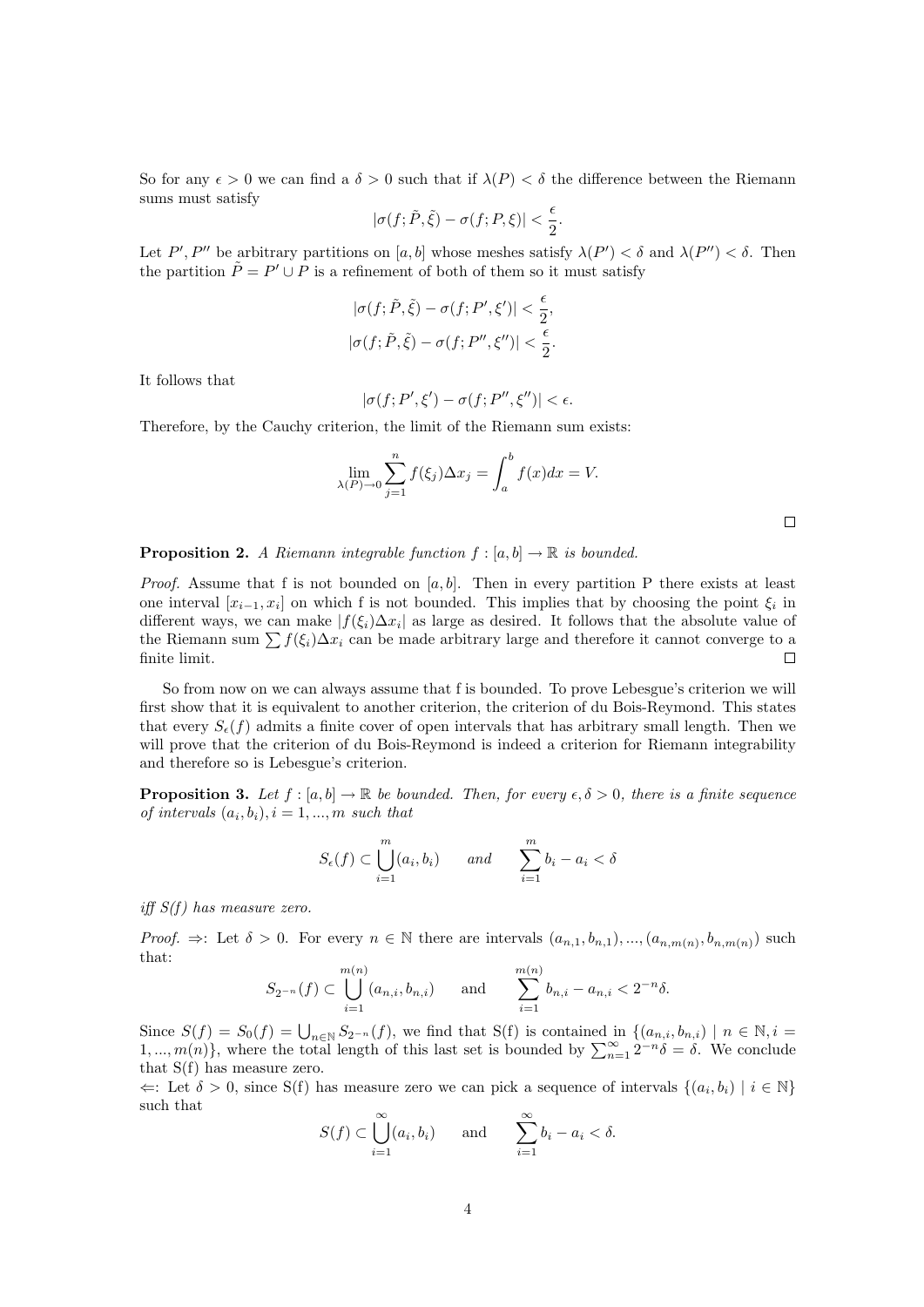So for any  $\epsilon > 0$  we can find a  $\delta > 0$  such that if  $\lambda(P) < \delta$  the difference between the Riemann sums must satisfy

$$
|\sigma(f; \tilde{P}, \tilde{\xi}) - \sigma(f; P, \xi)| < \frac{\epsilon}{2}.
$$

Let P', P'' be arbitrary partitions on [a, b] whose meshes satisfy  $\lambda(P') < \delta$  and  $\lambda(P'') < \delta$ . Then the partition  $\tilde{P} = P' \cup P$  is a refinement of both of them so it must satisfy

$$
|\sigma(f; \tilde{P}, \tilde{\xi}) - \sigma(f; P', \xi')| < \frac{\epsilon}{2},
$$
\n
$$
|\sigma(f; \tilde{P}, \tilde{\xi}) - \sigma(f; P'', \xi'')| < \frac{\epsilon}{2}.
$$

It follows that

$$
|\sigma(f;P',\xi')-\sigma(f;P'',\xi'')|<\epsilon.
$$

Therefore, by the Cauchy criterion, the limit of the Riemann sum exists:

$$
\lim_{\lambda(P)\to 0} \sum_{j=1}^n f(\xi_j) \Delta x_j = \int_a^b f(x) dx = V.
$$

**Proposition 2.** A Riemann integrable function  $f : [a, b] \rightarrow \mathbb{R}$  is bounded.

*Proof.* Assume that f is not bounded on  $[a, b]$ . Then in every partition P there exists at least one interval  $[x_{i-1}, x_i]$  on which f is not bounded. This implies that by choosing the point  $\xi_i$  in different ways, we can make  $|f(\xi_i)\Delta x_i|$  as large as desired. It follows that the absolute value of the Riemann sum  $\sum f(\xi_i)\Delta x_i$  can be made arbitrary large and therefore it cannot converge to a finite limit.  $\Box$ 

So from now on we can always assume that f is bounded. To prove Lebesgue's criterion we will first show that it is equivalent to another criterion, the criterion of du Bois-Reymond. This states that every  $S_{\epsilon}(f)$  admits a finite cover of open intervals that has arbitrary small length. Then we will prove that the criterion of du Bois-Reymond is indeed a criterion for Riemann integrability and therefore so is Lebesgue's criterion.

**Proposition 3.** Let  $f : [a, b] \to \mathbb{R}$  be bounded. Then, for every  $\epsilon, \delta > 0$ , there is a finite sequence of intervals  $(a_i, b_i), i = 1, ..., m$  such that

$$
S_{\epsilon}(f) \subset \bigcup_{i=1}^{m} (a_i, b_i) \qquad and \qquad \sum_{i=1}^{m} b_i - a_i < \delta
$$

iff  $S(f)$  has measure zero.

Proof.  $\Rightarrow$ : Let  $\delta > 0$ . For every  $n \in \mathbb{N}$  there are intervals  $(a_{n,1}, b_{n,1}), ..., (a_{n,m(n)}, b_{n,m(n)})$  such that:  $\sim$  $\mathbb{R}^n$ 

$$
S_{2^{-n}}(f) \subset \bigcup_{i=1}^{m(n)} (a_{n,i}, b_{n,i}) \quad \text{and} \quad \sum_{i=1}^{m(n)} b_{n,i} - a_{n,i} < 2^{-n}\delta.
$$

Since  $S(f) = S_0(f) = \bigcup_{n \in \mathbb{N}} S_{2^{-n}}(f)$ , we find that  $S(f)$  is contained in  $\{(a_{n,i}, b_{n,i}) \mid n \in \mathbb{N}, i =$  $1, ..., m(n)$ , where the total length of this last set is bounded by  $\sum_{n=1}^{\infty} 2^{-n} \delta = \delta$ . We conclude that S(f) has measure zero.

 $\Leftarrow$ : Let  $\delta > 0$ , since S(f) has measure zero we can pick a sequence of intervals  $\{(a_i, b_i) \mid i \in \mathbb{N}\}\$ such that

$$
S(f) \subset \bigcup_{i=1}^{\infty} (a_i, b_i) \quad \text{and} \quad \sum_{i=1}^{\infty} b_i - a_i < \delta.
$$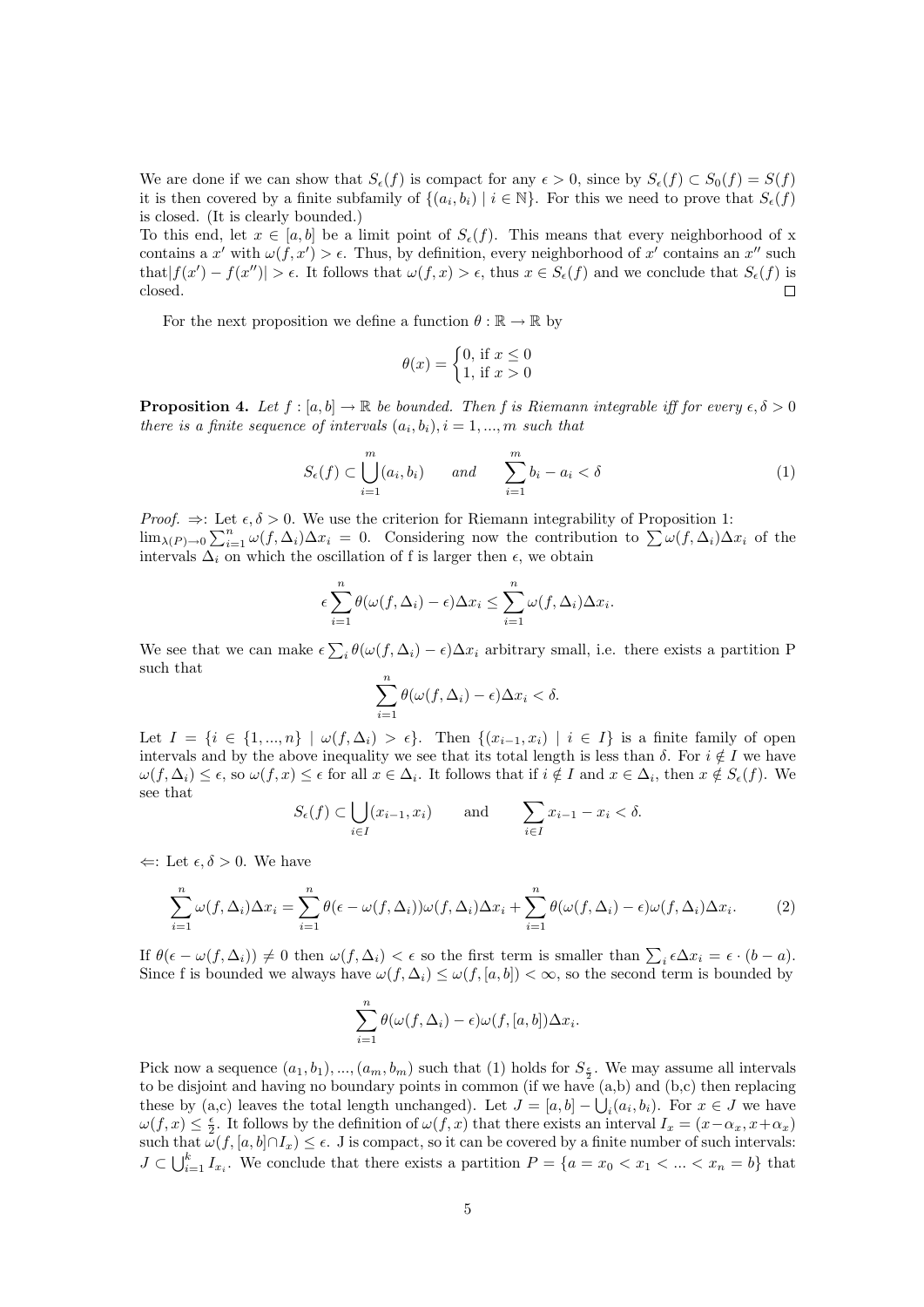We are done if we can show that  $S_{\epsilon}(f)$  is compact for any  $\epsilon > 0$ , since by  $S_{\epsilon}(f) \subset S_0(f) = S(f)$ it is then covered by a finite subfamily of  $\{(a_i, b_i) \mid i \in \mathbb{N}\}\$ . For this we need to prove that  $S_{\epsilon}(f)$ is closed. (It is clearly bounded.)

To this end, let  $x \in [a, b]$  be a limit point of  $S_{\epsilon}(f)$ . This means that every neighborhood of x contains a x' with  $\omega(f, x') > \epsilon$ . Thus, by definition, every neighborhood of x' contains an x'' such that  $|f(x') - f(x'')| > \epsilon$ . It follows that  $\omega(f, x) > \epsilon$ , thus  $x \in S_{\epsilon}(f)$  and we conclude that  $S_{\epsilon}(f)$  is closed.  $\Box$ 

For the next proposition we define a function  $\theta : \mathbb{R} \to \mathbb{R}$  by

$$
\theta(x) = \begin{cases} 0, \text{ if } x \le 0\\ 1, \text{ if } x > 0 \end{cases}
$$

**Proposition 4.** Let  $f : [a, b] \to \mathbb{R}$  be bounded. Then f is Riemann integrable iff for every  $\epsilon, \delta > 0$ there is a finite sequence of intervals  $(a_i, b_i)$ ,  $i = 1, ..., m$  such that

$$
S_{\epsilon}(f) \subset \bigcup_{i=1}^{m} (a_i, b_i) \qquad and \qquad \sum_{i=1}^{m} b_i - a_i < \delta \tag{1}
$$

*Proof.*  $\Rightarrow$ : Let  $\epsilon, \delta > 0$ . We use the criterion for Riemann integrability of Proposition 1:  $\lim_{\lambda(P)\to 0} \sum_{i=1}^n \omega(f,\Delta_i)\Delta x_i = 0$ . Considering now the contribution to  $\sum_{i=1}^n \omega(f,\Delta_i)\Delta x_i$  of the intervals  $\overline{\Delta_i}$  on which the oscillation of f is larger then  $\epsilon$ , we obtain

$$
\epsilon \sum_{i=1}^{n} \theta(\omega(f, \Delta_i) - \epsilon) \Delta x_i \leq \sum_{i=1}^{n} \omega(f, \Delta_i) \Delta x_i.
$$

We see that we can make  $\epsilon \sum_i \theta(\omega(f, \Delta_i) - \epsilon) \Delta x_i$  arbitrary small, i.e. there exists a partition P such that

$$
\sum_{i=1}^{n} \theta(\omega(f, \Delta_i) - \epsilon) \Delta x_i < \delta.
$$

Let  $I = \{i \in \{1, ..., n\} \mid \omega(f, \Delta_i) > \epsilon\}$ . Then  $\{(x_{i-1}, x_i) \mid i \in I\}$  is a finite family of open intervals and by the above inequality we see that its total length is less than  $\delta$ . For  $i \notin I$  we have  $\omega(f, \Delta_i) \leq \epsilon$ , so  $\omega(f, x) \leq \epsilon$  for all  $x \in \Delta_i$ . It follows that if  $i \notin I$  and  $x \in \Delta_i$ , then  $x \notin S_{\epsilon}(f)$ . We see that

$$
S_{\epsilon}(f) \subset \bigcup_{i \in I} (x_{i-1}, x_i) \quad \text{and} \quad \sum_{i \in I} x_{i-1} - x_i < \delta.
$$

 $\Leftarrow$ : Let  $\epsilon, \delta > 0$ . We have

$$
\sum_{i=1}^{n} \omega(f, \Delta_i) \Delta x_i = \sum_{i=1}^{n} \theta(\epsilon - \omega(f, \Delta_i)) \omega(f, \Delta_i) \Delta x_i + \sum_{i=1}^{n} \theta(\omega(f, \Delta_i) - \epsilon) \omega(f, \Delta_i) \Delta x_i.
$$
 (2)

If  $\theta(\epsilon - \omega(f, \Delta_i)) \neq 0$  then  $\omega(f, \Delta_i) < \epsilon$  so the first term is smaller than  $\sum_i \epsilon \Delta x_i = \epsilon \cdot (b - a)$ . Since f is bounded we always have  $\omega(f, \Delta_i) \leq \omega(f, [a, b]) < \infty$ , so the second term is bounded by

$$
\sum_{i=1}^{n} \theta(\omega(f, \Delta_i) - \epsilon) \omega(f, [a, b]) \Delta x_i.
$$

Pick now a sequence  $(a_1, b_1), ..., (a_m, b_m)$  such that (1) holds for  $S_{\frac{\epsilon}{2}}$ . We may assume all intervals to be disjoint and having no boundary points in common (if we have (a,b) and (b,c) then replacing these by (a,c) leaves the total length unchanged). Let  $J = [a, b] - \bigcup_i (a_i, b_i)$ . For  $x \in J$  we have  $\omega(f, x) \leq \frac{\epsilon}{2}$ . It follows by the definition of  $\omega(f, x)$  that there exists an interval  $I_x = (x - \alpha_x, x + \alpha_x)$ such that  $\omega(f, [a, b]\cap I_x) \leq \epsilon$ . J is compact, so it can be covered by a finite number of such intervals:  $J \subset \bigcup_{i=1}^k I_{x_i}$ . We conclude that there exists a partition  $P = \{a = x_0 < x_1 < \ldots < x_n = b\}$  that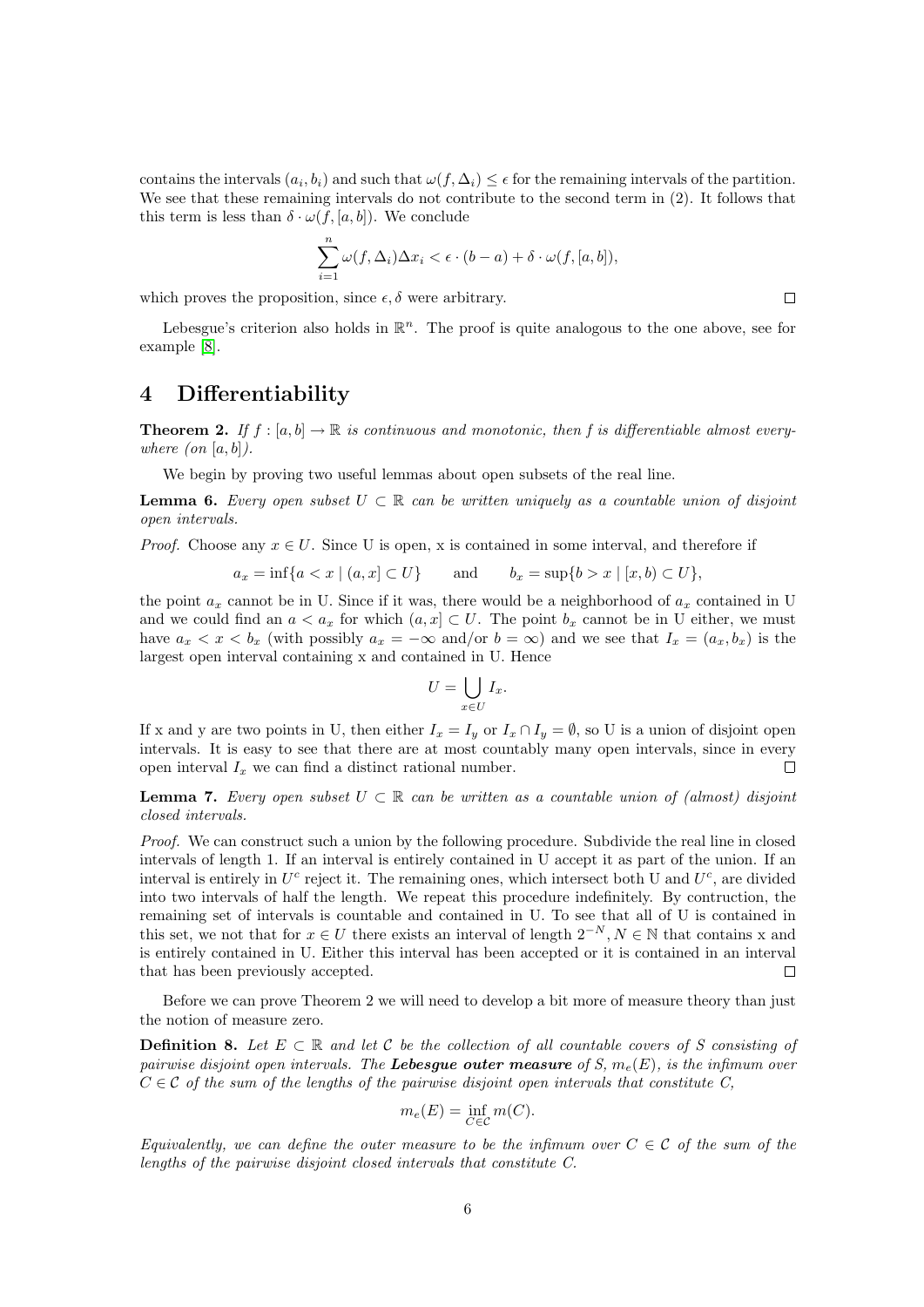contains the intervals  $(a_i, b_i)$  and such that  $\omega(f, \Delta_i) \leq \epsilon$  for the remaining intervals of the partition. We see that these remaining intervals do not contribute to the second term in  $(2)$ . It follows that this term is less than  $\delta \cdot \omega(f, [a, b])$ . We conclude

$$
\sum_{i=1}^{n} \omega(f, \Delta_i) \Delta x_i < \epsilon \cdot (b-a) + \delta \cdot \omega(f, [a, b]),
$$

which proves the proposition, since  $\epsilon, \delta$  were arbitrary.

Lebesgue's criterion also holds in  $\mathbb{R}^n$ . The proof is quite analogous to the one above, see for example [\[8\]](#page-19-0).

#### 4 Differentiability

**Theorem 2.** If  $f : [a, b] \to \mathbb{R}$  is continuous and monotonic, then f is differentiable almost everywhere  $($ on  $[a, b]$ ).

We begin by proving two useful lemmas about open subsets of the real line.

**Lemma 6.** Every open subset  $U \subset \mathbb{R}$  can be written uniquely as a countable union of disjoint open intervals.

*Proof.* Choose any  $x \in U$ . Since U is open, x is contained in some interval, and therefore if

$$
a_x = \inf\{a < x \mid (a, x] \subset U\}
$$
 and  $b_x = \sup\{b > x \mid [x, b) \subset U\}$ ,

the point  $a_x$  cannot be in U. Since if it was, there would be a neighborhood of  $a_x$  contained in U and we could find an  $a < a_x$  for which  $(a, x] \subset U$ . The point  $b_x$  cannot be in U either, we must have  $a_x < x < b_x$  (with possibly  $a_x = -\infty$  and/or  $b = \infty$ ) and we see that  $I_x = (a_x, b_x)$  is the largest open interval containing x and contained in U. Hence

$$
U = \bigcup_{x \in U} I_x.
$$

If x and y are two points in U, then either  $I_x = I_y$  or  $I_x \cap I_y = \emptyset$ , so U is a union of disjoint open intervals. It is easy to see that there are at most countably many open intervals, since in every open interval  $I_x$  we can find a distinct rational number.  $\Box$ 

**Lemma 7.** Every open subset  $U \subset \mathbb{R}$  can be written as a countable union of (almost) disjoint closed intervals.

Proof. We can construct such a union by the following procedure. Subdivide the real line in closed intervals of length 1. If an interval is entirely contained in U accept it as part of the union. If an interval is entirely in  $U^c$  reject it. The remaining ones, which intersect both U and  $U^c$ , are divided into two intervals of half the length. We repeat this procedure indefinitely. By contruction, the remaining set of intervals is countable and contained in U. To see that all of U is contained in this set, we not that for  $x \in U$  there exists an interval of length  $2^{-N}, N \in \mathbb{N}$  that contains x and is entirely contained in U. Either this interval has been accepted or it is contained in an interval that has been previously accepted.  $\Box$ 

Before we can prove Theorem 2 we will need to develop a bit more of measure theory than just the notion of measure zero.

**Definition 8.** Let  $E \subset \mathbb{R}$  and let C be the collection of all countable covers of S consisting of pairwise disjoint open intervals. The Lebesgue outer measure of S,  $m_e(E)$ , is the infimum over  $C \in \mathcal{C}$  of the sum of the lengths of the pairwise disjoint open intervals that constitute C,

$$
m_e(E) = \inf_{C \in \mathcal{C}} m(C).
$$

Equivalently, we can define the outer measure to be the infimum over  $C \in \mathcal{C}$  of the sum of the lengths of the pairwise disjoint closed intervals that constitute C.

 $\Box$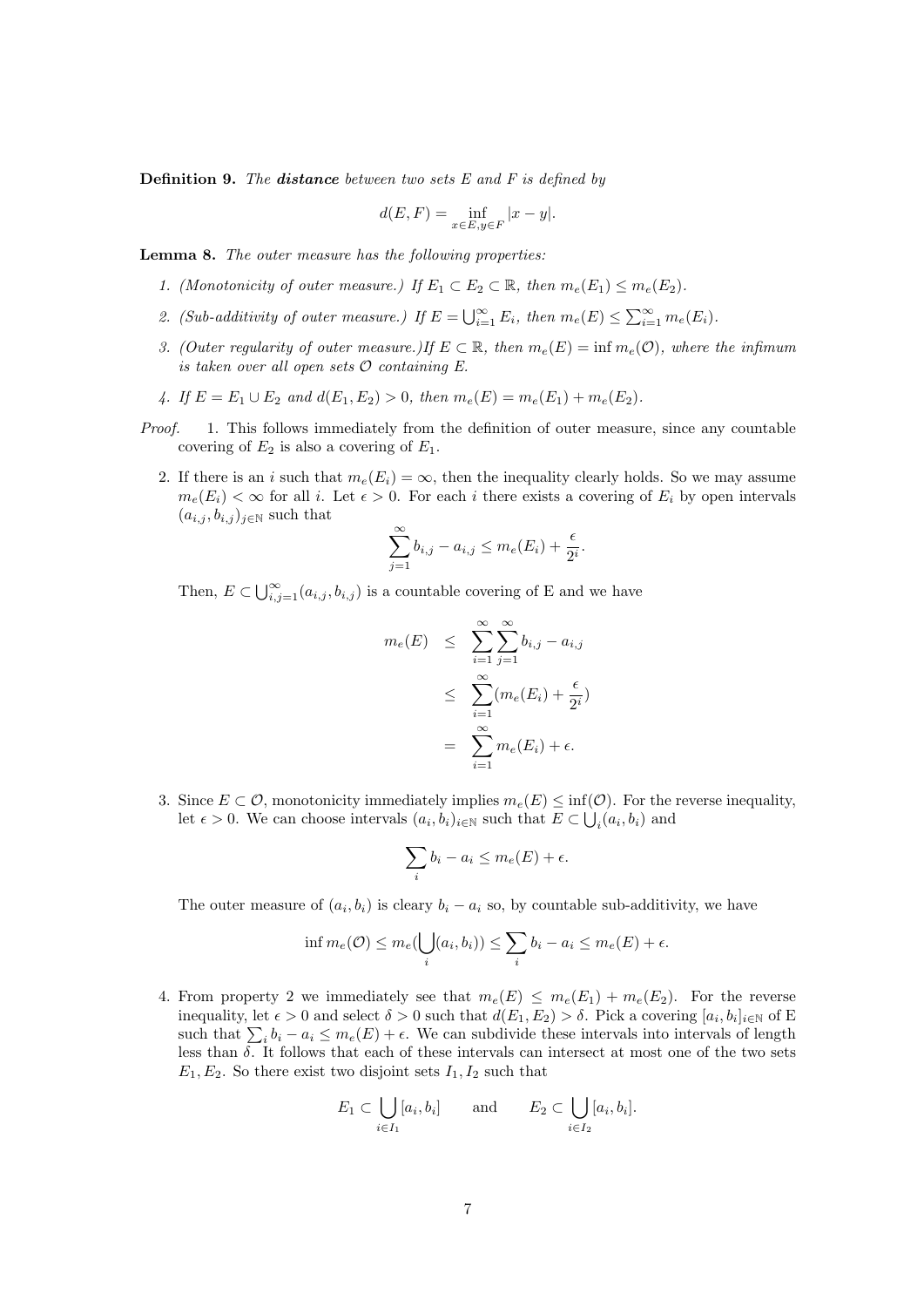**Definition 9.** The **distance** between two sets  $E$  and  $F$  is defined by

$$
d(E, F) = \inf_{x \in E, y \in F} |x - y|.
$$

Lemma 8. The outer measure has the following properties:

- 1. (Monotonicity of outer measure.) If  $E_1 \subset E_2 \subset \mathbb{R}$ , then  $m_e(E_1) \leq m_e(E_2)$ .
- 2. (Sub-additivity of outer measure.) If  $E = \bigcup_{i=1}^{\infty} E_i$ , then  $m_e(E) \leq \sum_{i=1}^{\infty} m_e(E_i)$ .
- 3. (Outer regularity of outer measure.)If  $E \subset \mathbb{R}$ , then  $m_e(E) = \inf m_e(\mathcal{O})$ , where the infimum is taken over all open sets  $O$  containing  $E$ .
- 4. If  $E = E_1 \cup E_2$  and  $d(E_1, E_2) > 0$ , then  $m_e(E) = m_e(E_1) + m_e(E_2)$ .
- Proof. 1. This follows immediately from the definition of outer measure, since any countable covering of  $E_2$  is also a covering of  $E_1$ .
	- 2. If there is an i such that  $m_e(E_i) = \infty$ , then the inequality clearly holds. So we may assume  $m_e(E_i) < \infty$  for all i. Let  $\epsilon > 0$ . For each i there exists a covering of  $E_i$  by open intervals  $(a_{i,j}, b_{i,j})_{j\in\mathbb{N}}$  such that

$$
\sum_{j=1}^{\infty} b_{i,j} - a_{i,j} \le m_e(E_i) + \frac{\epsilon}{2^i}.
$$

Then,  $E \subset \bigcup_{i,j=1}^{\infty} (a_{i,j}, b_{i,j})$  is a countable covering of E and we have

$$
m_e(E) \leq \sum_{i=1}^{\infty} \sum_{j=1}^{\infty} b_{i,j} - a_{i,j}
$$
  

$$
\leq \sum_{i=1}^{\infty} (m_e(E_i) + \frac{\epsilon}{2^i})
$$
  

$$
= \sum_{i=1}^{\infty} m_e(E_i) + \epsilon.
$$

3. Since  $E \subset \mathcal{O}$ , monotonicity immediately implies  $m_e(E) \le \inf(\mathcal{O})$ . For the reverse inequality, let  $\epsilon > 0$ . We can choose intervals  $(a_i, b_i)_{i \in \mathbb{N}}$  such that  $E \subset \bigcup_i (a_i, b_i)$  and

$$
\sum_i b_i - a_i \le m_e(E) + \epsilon.
$$

The outer measure of  $(a_i, b_i)$  is cleary  $b_i - a_i$  so, by countable sub-additivity, we have

$$
\inf m_e(\mathcal{O}) \le m_e(\bigcup_i (a_i, b_i)) \le \sum_i b_i - a_i \le m_e(E) + \epsilon.
$$

4. From property 2 we immediately see that  $m_e(E) \leq m_e(E_1) + m_e(E_2)$ . For the reverse inequality, let  $\epsilon > 0$  and select  $\delta > 0$  such that  $d(E_1, E_2) > \delta$ . Pick a covering  $[a_i, b_i]_{i \in \mathbb{N}}$  of E such that  $\sum_i b_i - a_i \leq m_e(E) + \epsilon$ . We can subdivide these intervals into intervals of length less than  $\delta$ . It follows that each of these intervals can intersect at most one of the two sets  $E_1, E_2$ . So there exist two disjoint sets  $I_1, I_2$  such that

$$
E_1 \subset \bigcup_{i \in I_1} [a_i, b_i] \quad \text{and} \quad E_2 \subset \bigcup_{i \in I_2} [a_i, b_i].
$$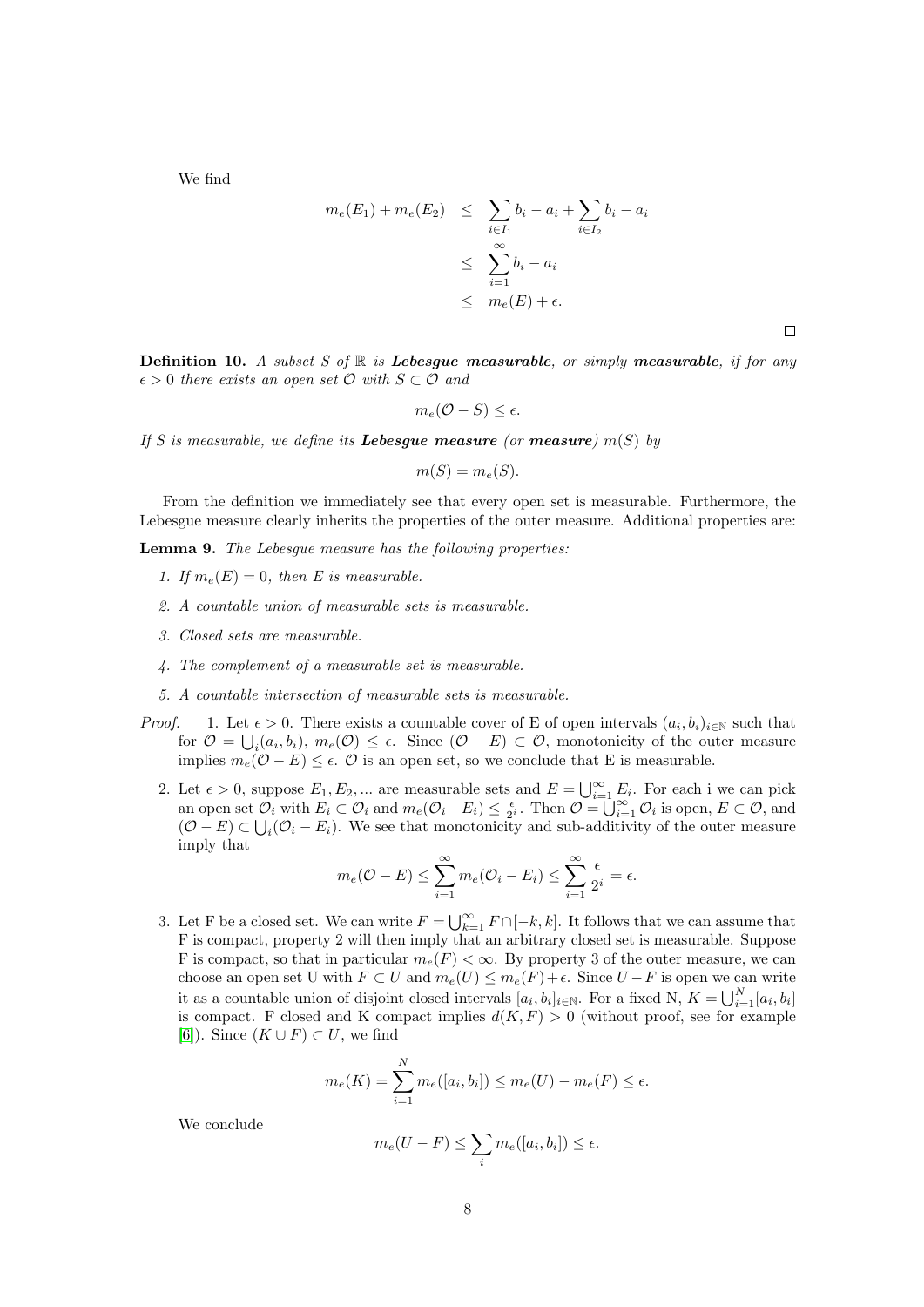We find

$$
m_e(E_1) + m_e(E_2) \leq \sum_{i \in I_1} b_i - a_i + \sum_{i \in I_2} b_i - a_i
$$
  

$$
\leq \sum_{i=1}^{\infty} b_i - a_i
$$
  

$$
\leq m_e(E) + \epsilon.
$$

 $\Box$ 

**Definition 10.** A subset S of  $\mathbb R$  is Lebesgue measurable, or simply measurable, if for any  $\epsilon > 0$  there exists an open set  $\mathcal{O}$  with  $S \subset \mathcal{O}$  and

$$
m_e(\mathcal{O}-S) \leq \epsilon.
$$

If S is measurable, we define its **Lebesgue measure** (or **measure**)  $m(S)$  by

$$
m(S) = m_e(S).
$$

From the definition we immediately see that every open set is measurable. Furthermore, the Lebesgue measure clearly inherits the properties of the outer measure. Additional properties are:

Lemma 9. The Lebesgue measure has the following properties:

- 1. If  $m_e(E) = 0$ , then E is measurable.
- 2. A countable union of measurable sets is measurable.
- 3. Closed sets are measurable.
- 4. The complement of a measurable set is measurable.
- 5. A countable intersection of measurable sets is measurable.
- *Proof.* 1. Let  $\epsilon > 0$ . There exists a countable cover of E of open intervals  $(a_i, b_i)_{i \in \mathbb{N}}$  such that for  $\mathcal{O} = \bigcup_i (a_i, b_i), m_e(\mathcal{O}) \le \epsilon$ . Since  $(\mathcal{O} - E) \subset \mathcal{O}$ , monotonicity of the outer measure implies  $m_e(\mathcal{O} - E) \leq \epsilon$ .  $\mathcal{O}$  is an open set, so we conclude that E is measurable.
	- 2. Let  $\epsilon > 0$ , suppose  $E_1, E_2, ...$  are measurable sets and  $E = \bigcup_{i=1}^{\infty} E_i$ . For each i we can pick an open set  $\mathcal{O}_i$  with  $E_i \subset \mathcal{O}_i$  and  $m_e(\mathcal{O}_i - E_i) \leq \frac{\epsilon}{2^i}$ . Then  $\mathcal{O} = \bigcup_{i=1}^{\infty} \mathcal{O}_i$  is open,  $E \subset \mathcal{O}$ , and  $(\mathcal{O} - E) \subset \bigcup_i (\mathcal{O}_i - E_i)$ . We see that monotonicity and sub-additivity of the outer measure imply that

$$
m_e(\mathcal{O} - E) \le \sum_{i=1}^{\infty} m_e(\mathcal{O}_i - E_i) \le \sum_{i=1}^{\infty} \frac{\epsilon}{2^i} = \epsilon.
$$

3. Let F be a closed set. We can write  $F = \bigcup_{k=1}^{\infty} F \cap [-k, k]$ . It follows that we can assume that F is compact, property 2 will then imply that an arbitrary closed set is measurable. Suppose F is compact, so that in particular  $m_e(F) < \infty$ . By property 3 of the outer measure, we can choose an open set U with  $F \subset U$  and  $m_e(U) \leq m_e(F) + \epsilon$ . Since  $U - F$  is open we can write it as a countable union of disjoint closed intervals  $[a_i, b_i]_{i \in \mathbb{N}}$ . For a fixed N,  $K = \bigcup_{i=1}^{N} [a_i, b_i]$ is compact. F closed and K compact implies  $d(K, F) > 0$  (without proof, see for example [\[6\]](#page-19-1)). Since  $(K \cup F) \subset U$ , we find

$$
m_e(K) = \sum_{i=1}^{N} m_e([a_i, b_i]) \le m_e(U) - m_e(F) \le \epsilon.
$$

We conclude

$$
m_e(U - F) \le \sum_i m_e([a_i, b_i]) \le \epsilon.
$$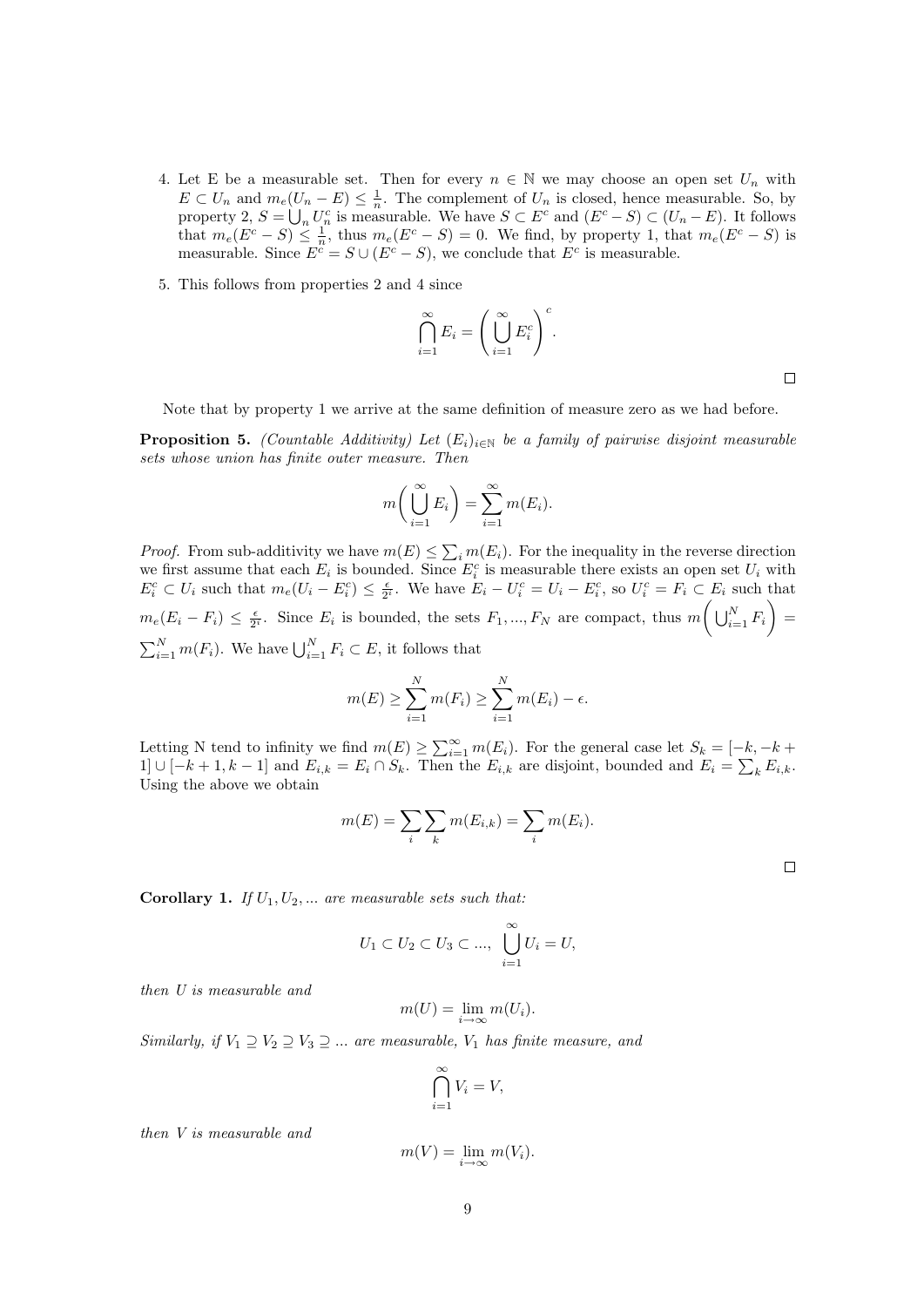- 4. Let E be a measurable set. Then for every  $n \in \mathbb{N}$  we may choose an open set  $U_n$  with  $E \subset U_n$  and  $m_e(U_n - E) \leq \frac{1}{n}$ . The complement of  $U_n$  is closed, hence measurable. So, by property 2,  $S = \bigcup_n U_n^c$  is measurable. We have  $S \subset E^c$  and  $(E^c - S) \subset (U_n - E)$ . It follows that  $m_e(E^c - S) \leq \frac{1}{n}$ , thus  $m_e(E^c - S) = 0$ . We find, by property 1, that  $m_e(E^c - S)$  is measurable. Since  $E^{\tilde{c}} = S \cup (E^c - S)$ , we conclude that  $E^c$  is measurable.
- 5. This follows from properties 2 and 4 since

$$
\bigcap_{i=1}^{\infty} E_i = \left(\bigcup_{i=1}^{\infty} E_i^c\right)^c.
$$

 $\Box$ 

Note that by property 1 we arrive at the same definition of measure zero as we had before.

**Proposition 5.** (Countable Additivity) Let  $(E_i)_{i \in \mathbb{N}}$  be a family of pairwise disjoint measurable sets whose union has finite outer measure. Then

$$
m\bigg(\bigcup_{i=1}^{\infty} E_i\bigg) = \sum_{i=1}^{\infty} m(E_i).
$$

*Proof.* From sub-additivity we have  $m(E) \leq \sum_i m(E_i)$ . For the inequality in the reverse direction we first assume that each  $E_i$  is bounded. Since  $E_i^c$  is measurable there exists an open set  $U_i$  with  $E_i^c \subset U_i$  such that  $m_e(U_i - E_i^c) \leq \frac{\epsilon}{2^i}$ . We have  $E_i - U_i^c = U_i - E_i^c$ , so  $U_i^c = F_i \subset E_i$  such that  $m_e(E_i - F_i) \leq \frac{\epsilon}{2^i}$ . Since  $E_i$  is bounded, the sets  $F_1, ..., F_N$  are compact, thus  $m\left(\bigcup_{i=1}^N F_i\right) =$  $\sum_{i=1}^{N} m(F_i)$ . We have  $\bigcup_{i=1}^{N} F_i \subset E$ , it follows that

$$
m(E) \ge \sum_{i=1}^{N} m(F_i) \ge \sum_{i=1}^{N} m(E_i) - \epsilon.
$$

Letting N tend to infinity we find  $m(E) \ge \sum_{i=1}^{\infty} m(E_i)$ . For the general case let  $S_k = [-k, -k + \dots]$ 1] ∪ [-k + 1, k – 1] and  $E_{i,k} = E_i \cap S_k$ . Then the  $E_{i,k}$  are disjoint, bounded and  $E_i = \sum_k E_{i,k}$ . Using the above we obtain

$$
m(E) = \sum_{i} \sum_{k} m(E_{i,k}) = \sum_{i} m(E_{i}).
$$

 $\Box$ 

**Corollary 1.** If  $U_1, U_2, \ldots$  are measurable sets such that:

$$
U_1 \subset U_2 \subset U_3 \subset \dots, \bigcup_{i=1}^{\infty} U_i = U,
$$

then U is measurable and

$$
m(U) = \lim_{i \to \infty} m(U_i).
$$

Similarly, if  $V_1 \supseteq V_2 \supseteq V_3 \supseteq ...$  are measurable,  $V_1$  has finite measure, and

$$
\bigcap_{i=1}^{\infty} V_i = V,
$$

then V is measurable and

$$
m(V) = \lim_{i \to \infty} m(V_i).
$$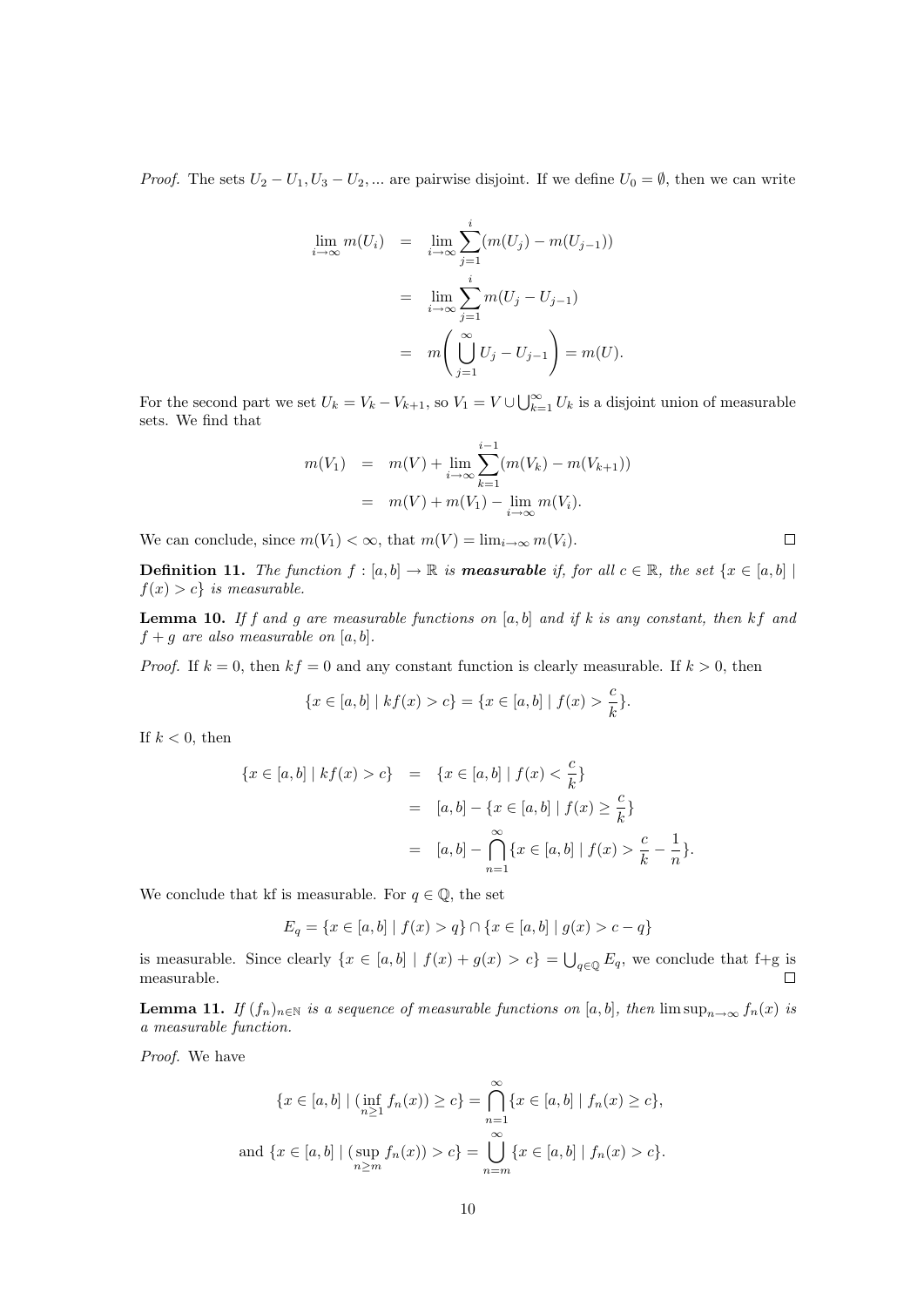*Proof.* The sets  $U_2 - U_1, U_3 - U_2, \dots$  are pairwise disjoint. If we define  $U_0 = \emptyset$ , then we can write

$$
\lim_{i \to \infty} m(U_i) = \lim_{i \to \infty} \sum_{j=1}^{i} (m(U_j) - m(U_{j-1}))
$$
  
= 
$$
\lim_{i \to \infty} \sum_{j=1}^{i} m(U_j - U_{j-1})
$$
  
= 
$$
m\left(\bigcup_{j=1}^{\infty} U_j - U_{j-1}\right) = m(U).
$$

For the second part we set  $U_k = V_k - V_{k+1}$ , so  $V_1 = V \cup \bigcup_{k=1}^{\infty} U_k$  is a disjoint union of measurable sets. We find that

$$
m(V_1) = m(V) + \lim_{i \to \infty} \sum_{k=1}^{i-1} (m(V_k) - m(V_{k+1}))
$$
  
=  $m(V) + m(V_1) - \lim_{i \to \infty} m(V_i).$ 

We can conclude, since  $m(V_1) < \infty$ , that  $m(V) = \lim_{i \to \infty} m(V_i)$ .

**Definition 11.** The function  $f : [a, b] \to \mathbb{R}$  is **measurable** if, for all  $c \in \mathbb{R}$ , the set  $\{x \in [a, b] \mid a\}$  $f(x) > c$  is measurable.

 $\Box$ 

**Lemma 10.** If f and g are measurable functions on  $[a, b]$  and if k is any constant, then kf and  $f + g$  are also measurable on [a, b].

*Proof.* If  $k = 0$ , then  $kf = 0$  and any constant function is clearly measurable. If  $k > 0$ , then

$$
\{x \in [a, b] \mid kf(x) > c\} = \{x \in [a, b] \mid f(x) > \frac{c}{k}\}.
$$

If  $k < 0$ , then

$$
\{x \in [a, b] \mid kf(x) > c\} = \{x \in [a, b] \mid f(x) < \frac{c}{k}\} \\
= [a, b] - \{x \in [a, b] \mid f(x) \ge \frac{c}{k}\} \\
= [a, b] - \bigcap_{n=1}^{\infty} \{x \in [a, b] \mid f(x) > \frac{c}{k} - \frac{1}{n}\}.
$$

We conclude that kf is measurable. For  $q \in \mathbb{Q}$ , the set

$$
E_q = \{x \in [a,b] \mid f(x) > q\} \cap \{x \in [a,b] \mid g(x) > c - q\}
$$

is measurable. Since clearly  $\{x \in [a, b] \mid f(x) + g(x) > c\} = \bigcup_{q \in \mathbb{Q}} E_q$ , we conclude that f+g is measurable.

**Lemma 11.** If  $(f_n)_{n\in\mathbb{N}}$  is a sequence of measurable functions on [a, b], then  $\limsup_{n\to\infty} f_n(x)$  is a measurable function.

Proof. We have

$$
\{x \in [a, b] \mid (\inf_{n \ge 1} f_n(x)) \ge c\} = \bigcap_{n=1}^{\infty} \{x \in [a, b] \mid f_n(x) \ge c\},\
$$
  
and 
$$
\{x \in [a, b] \mid (\sup_{n \ge m} f_n(x)) > c\} = \bigcup_{n=m}^{\infty} \{x \in [a, b] \mid f_n(x) > c\}.
$$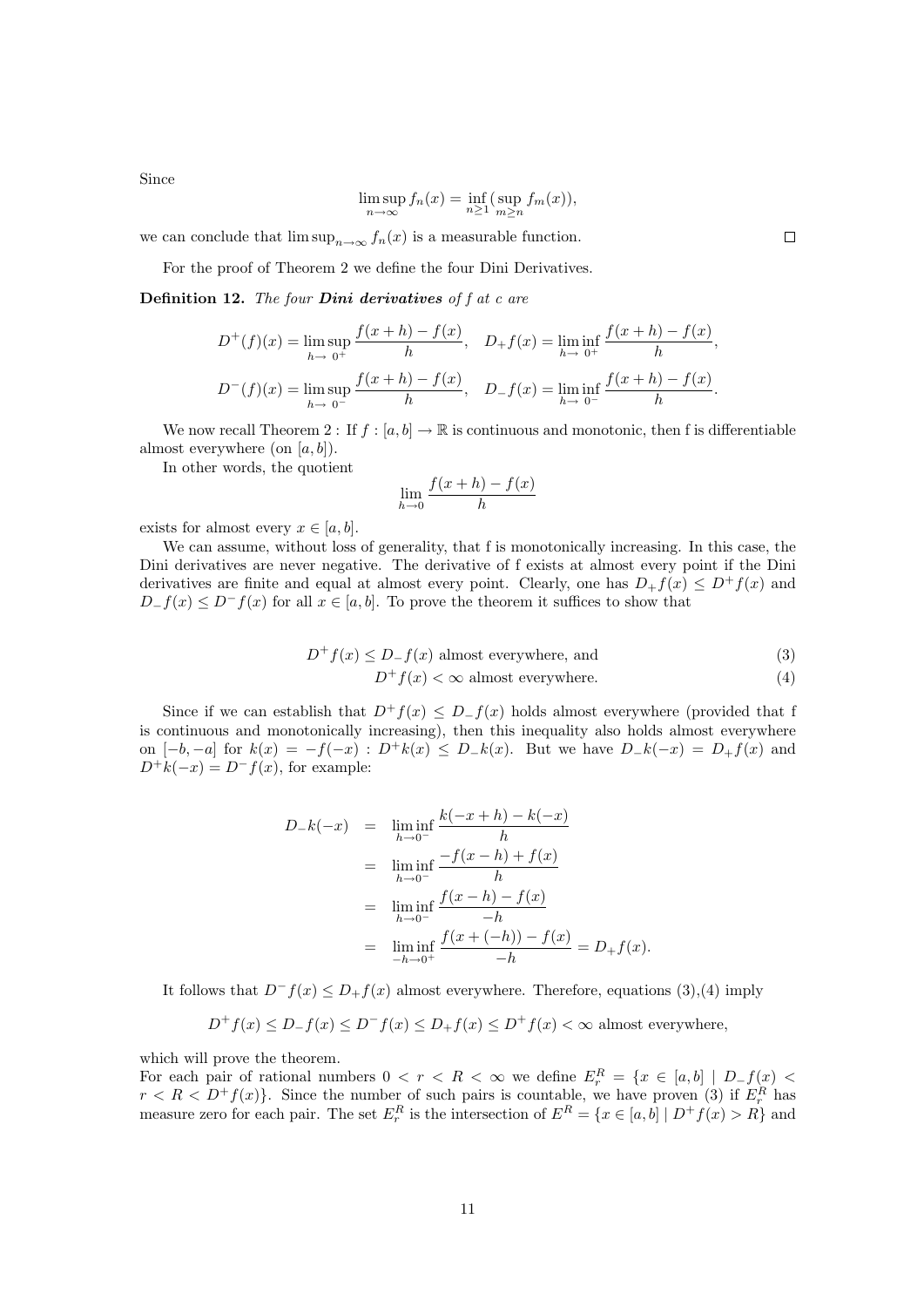Since

$$
\limsup_{n \to \infty} f_n(x) = \inf_{n \ge 1} (\sup_{m \ge n} f_m(x)),
$$

we can conclude that  $\limsup_{n\to\infty} f_n(x)$  is a measurable function.

For the proof of Theorem 2 we define the four Dini Derivatives.

**Definition 12.** The four **Dini derivatives** of  $f$  at  $c$  are

$$
D^{+}(f)(x) = \lim_{h \to 0^{+}} \sup_{h \to 0^{+}} \frac{f(x+h) - f(x)}{h}, \quad D_{+}f(x) = \lim_{h \to 0^{+}} \inf_{h \to 0^{+}} \frac{f(x+h) - f(x)}{h},
$$
  

$$
D^{-}(f)(x) = \lim_{h \to 0^{-}} \sup_{h \to 0^{-}} \frac{f(x+h) - f(x)}{h}, \quad D_{-}f(x) = \lim_{h \to 0^{-}} \inf_{h \to 0^{-}} \frac{f(x+h) - f(x)}{h}.
$$

We now recall Theorem 2 : If  $f : [a, b] \to \mathbb{R}$  is continuous and monotonic, then f is differentiable almost everywhere (on  $[a, b]$ ).

In other words, the quotient

$$
\lim_{h \to 0} \frac{f(x+h) - f(x)}{h}
$$

exists for almost every  $x \in [a, b]$ .

We can assume, without loss of generality, that f is monotonically increasing. In this case, the Dini derivatives are never negative. The derivative of f exists at almost every point if the Dini derivatives are finite and equal at almost every point. Clearly, one has  $D_+f(x) \leq D^+f(x)$  and  $D_{-}f(x) \leq D^{-}f(x)$  for all  $x \in [a, b]$ . To prove the theorem it suffices to show that

$$
D^{+}f(x) \le D_{-}f(x) \text{ almost everywhere, and}
$$
\n(3)

$$
D^{+}f(x) < \infty \text{ almost everywhere.} \tag{4}
$$

Since if we can establish that  $D^+f(x) \leq D^-f(x)$  holds almost everywhere (provided that f is continuous and monotonically increasing), then this inequality also holds almost everywhere on  $[-b, -a]$  for  $k(x) = -f(-x)$ :  $D^+k(x) \le D_k(x)$ . But we have  $D_k(-x) = D_k(x)$  and  $D^+k(-x) = D^-f(x)$ , for example:

$$
D_{-}k(-x) = \liminf_{h \to 0^{-}} \frac{k(-x+h) - k(-x)}{h}
$$
  
= 
$$
\liminf_{h \to 0^{-}} \frac{-f(x-h) + f(x)}{h}
$$
  
= 
$$
\liminf_{h \to 0^{-}} \frac{f(x-h) - f(x)}{-h}
$$
  
= 
$$
\liminf_{h \to 0^{+}} \frac{f(x + (-h)) - f(x)}{-h} = D_{+}f(x).
$$

It follows that  $D^-f(x) \le D_+f(x)$  almost everywhere. Therefore, equations (3),(4) imply

$$
D^+f(x) \le D^-f(x) \le D^-f(x) \le D^+f(x) \le D^+f(x) < \infty \text{ almost everywhere,}
$$

which will prove the theorem.

For each pair of rational numbers  $0 < r < R < \infty$  we define  $E_r^R = \{x \in [a, b] \mid D_f(x)$  $r < R < D^{+}f(x)$ . Since the number of such pairs is countable, we have proven (3) if  $E_r^R$  has measure zero for each pair. The set  $E_r^R$  is the intersection of  $E^R = \{x \in [a, b] \mid D^+ f(x) > R\}$  and

 $\Box$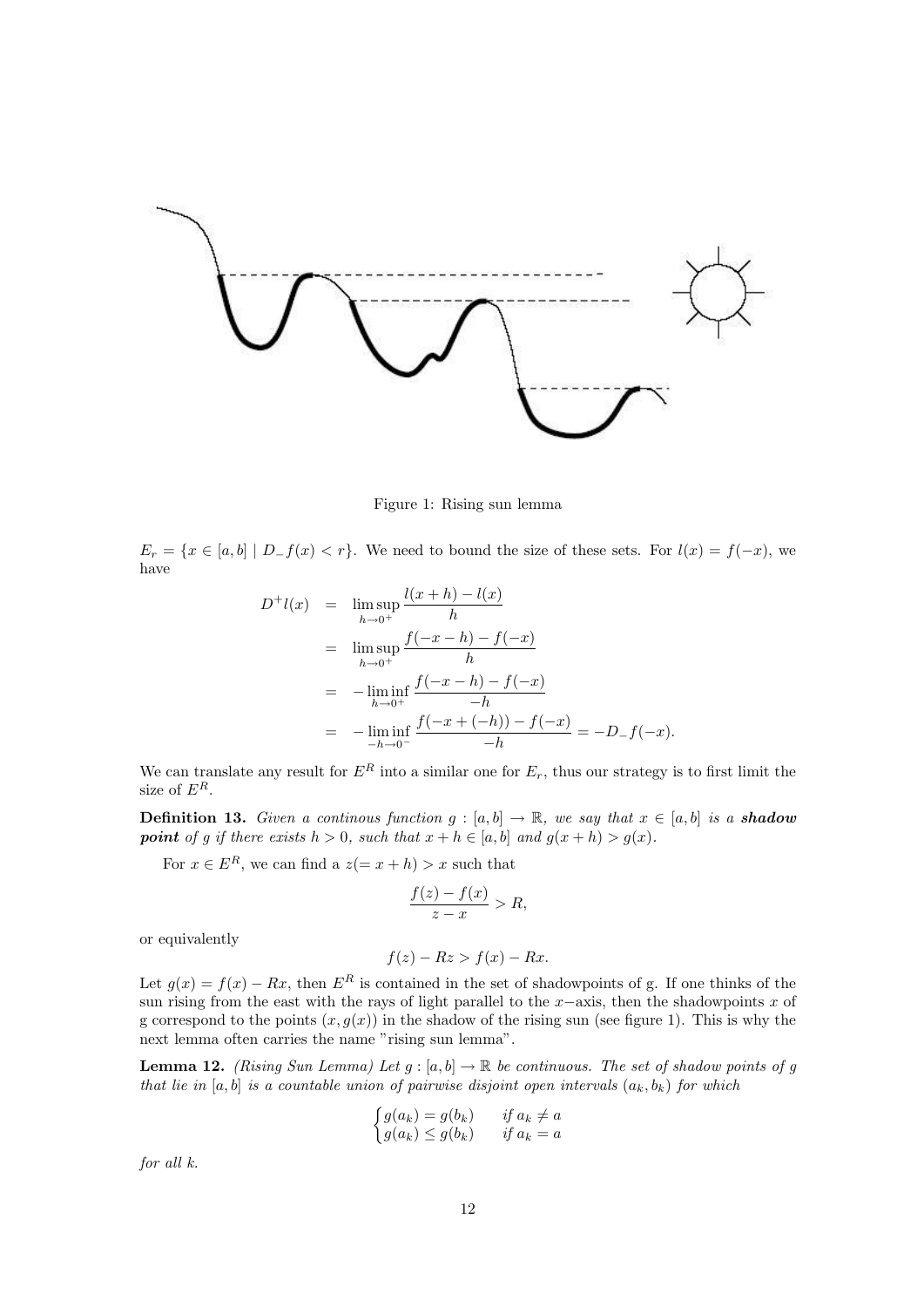

Figure 1: Rising sun lemma

 $E_r = \{x \in [a, b] \mid D_f(x) < r\}.$  We need to bound the size of these sets. For  $l(x) = f(-x)$ , we have

$$
D^{+}l(x) = \limsup_{h \to 0^{+}} \frac{l(x+h) - l(x)}{h}
$$
  
= 
$$
\limsup_{h \to 0^{+}} \frac{f(-x-h) - f(-x)}{h}
$$
  
= 
$$
-\liminf_{h \to 0^{+}} \frac{f(-x-h) - f(-x)}{-h}
$$
  
= 
$$
-\liminf_{h \to 0^{-}} \frac{f(-x + (-h)) - f(-x)}{-h} = -D_{-}f(-x).
$$

We can translate any result for  $E^R$  into a similar one for  $E_r$ , thus our strategy is to first limit the size of  $E^R$ .

**Definition 13.** Given a continuous function  $g : [a, b] \to \mathbb{R}$ , we say that  $x \in [a, b]$  is a **shadow point** of g if there exists  $h > 0$ , such that  $x + h \in [a, b]$  and  $g(x + h) > g(x)$ .

For  $x \in E^R$ , we can find a  $z(= x + h) > x$  such that

$$
\frac{f(z) - f(x)}{z - x} > R,
$$

or equivalently

$$
f(z) - Rz > f(x) - Rx.
$$

Let  $g(x) = f(x) - Rx$ , then  $E^R$  is contained in the set of shadowpoints of g. If one thinks of the sun rising from the east with the rays of light parallel to the  $x$ −axis, then the shadowpoints x of g correspond to the points  $(x, g(x))$  in the shadow of the rising sun (see figure 1). This is why the next lemma often carries the name "rising sun lemma".

**Lemma 12.** (Rising Sun Lemma) Let  $g : [a, b] \to \mathbb{R}$  be continuous. The set of shadow points of g that lie in [a, b] is a countable union of pairwise disjoint open intervals  $(a_k, b_k)$  for which

$$
\begin{cases}\ng(a_k) = g(b_k) & \text{if } a_k \neq a \\
g(a_k) \leq g(b_k) & \text{if } a_k = a\n\end{cases}
$$

for all k.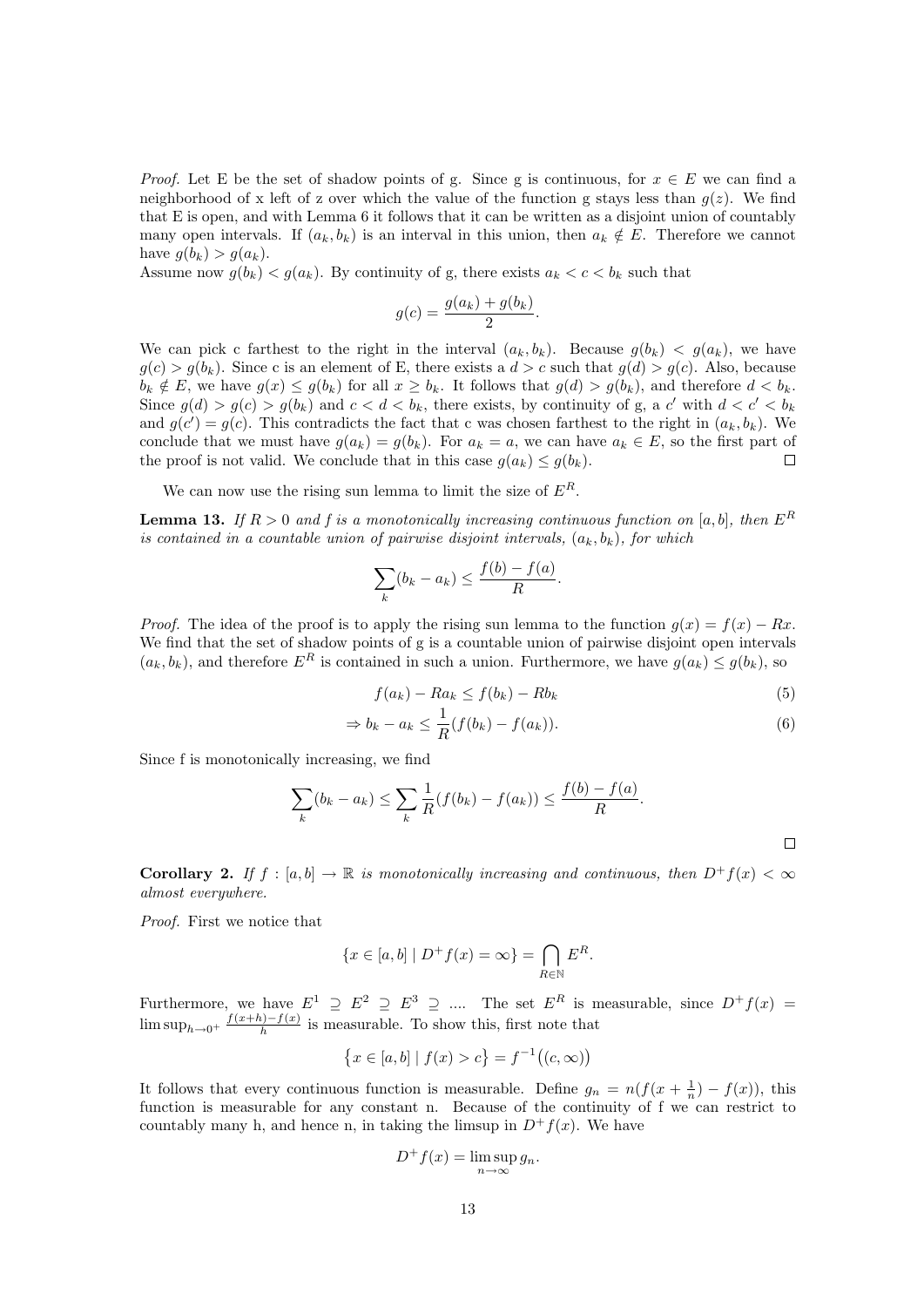*Proof.* Let E be the set of shadow points of g. Since g is continuous, for  $x \in E$  we can find a neighborhood of x left of z over which the value of the function g stays less than  $q(z)$ . We find that E is open, and with Lemma 6 it follows that it can be written as a disjoint union of countably many open intervals. If  $(a_k, b_k)$  is an interval in this union, then  $a_k \notin E$ . Therefore we cannot have  $g(b_k) > g(a_k)$ .

Assume now  $g(b_k) < g(a_k)$ . By continuity of g, there exists  $a_k < c < b_k$  such that

$$
g(c) = \frac{g(a_k) + g(b_k)}{2}.
$$

We can pick c farthest to the right in the interval  $(a_k, b_k)$ . Because  $g(b_k) < g(a_k)$ , we have  $g(c) > g(b_k)$ . Since c is an element of E, there exists a  $d > c$  such that  $g(d) > g(c)$ . Also, because  $b_k \notin E$ , we have  $g(x) \leq g(b_k)$  for all  $x \geq b_k$ . It follows that  $g(d) > g(b_k)$ , and therefore  $d < b_k$ . Since  $g(d) > g(c) > g(b_k)$  and  $c < d < b_k$ , there exists, by continuity of g, a c' with  $d < c' < b_k$ and  $g(c') = g(c)$ . This contradicts the fact that c was chosen farthest to the right in  $(a_k, b_k)$ . We conclude that we must have  $g(a_k) = g(b_k)$ . For  $a_k = a$ , we can have  $a_k \in E$ , so the first part of the proof is not valid. We conclude that in this case  $g(a_k) \leq g(b_k)$ .  $\Box$ 

We can now use the rising sun lemma to limit the size of  $E^R$ .

**Lemma 13.** If  $R > 0$  and f is a monotonically increasing continuous function on [a, b], then  $E^R$ is contained in a countable union of pairwise disjoint intervals,  $(a_k, b_k)$ , for which

$$
\sum_{k} (b_k - a_k) \le \frac{f(b) - f(a)}{R}.
$$

*Proof.* The idea of the proof is to apply the rising sun lemma to the function  $g(x) = f(x) - Rx$ . We find that the set of shadow points of g is a countable union of pairwise disjoint open intervals  $(a_k, b_k)$ , and therefore  $E^R$  is contained in such a union. Furthermore, we have  $g(a_k) \leq g(b_k)$ , so

$$
f(a_k) - Ra_k \le f(b_k) - Rb_k \tag{5}
$$

$$
\Rightarrow b_k - a_k \leq \frac{1}{R}(f(b_k) - f(a_k)). \tag{6}
$$

Since f is monotonically increasing, we find

$$
\sum_{k} (b_k - a_k) \leq \sum_{k} \frac{1}{R} (f(b_k) - f(a_k)) \leq \frac{f(b) - f(a)}{R}.
$$

**Corollary 2.** If  $f : [a, b] \to \mathbb{R}$  is monotonically increasing and continuous, then  $D^+f(x) < \infty$ almost everywhere.

Proof. First we notice that

$$
\{x \in [a, b] \mid D^+ f(x) = \infty\} = \bigcap_{R \in \mathbb{N}} E^R.
$$

Furthermore, we have  $E^1 \supseteq E^2 \supseteq E^3 \supseteq \dots$  The set  $E^R$  is measurable, since  $D^+f(x) =$  $\limsup_{h\to 0^+} \frac{f(x+h)-f(x)}{h}$  $\frac{h^{j}-f(x)}{h}$  is measurable. To show this, first note that

$$
\{x \in [a, b] \mid f(x) > c\} = f^{-1}((c, \infty))
$$

It follows that every continuous function is measurable. Define  $g_n = n(f(x + \frac{1}{n}) - f(x))$ , this function is measurable for any constant n. Because of the continuity of f we can restrict to countably many h, and hence n, in taking the limsup in  $D^+f(x)$ . We have

$$
D^+f(x) = \limsup_{n \to \infty} g_n.
$$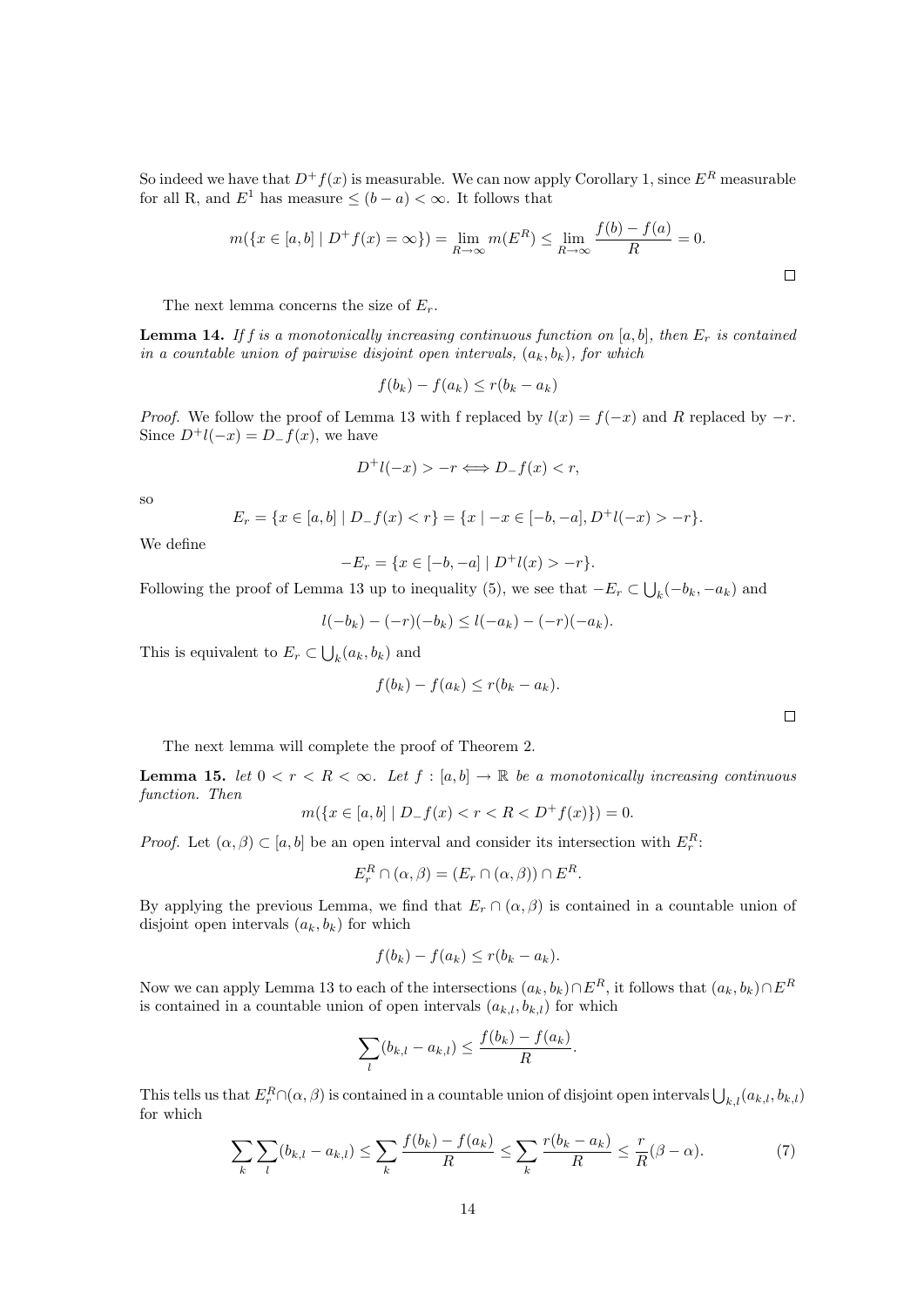So indeed we have that  $D^+f(x)$  is measurable. We can now apply Corollary 1, since  $E^R$  measurable for all R, and  $E^1$  has measure  $\leq (b-a) < \infty$ . It follows that

$$
m(\{x \in [a, b] \mid D^+ f(x) = \infty\}) = \lim_{R \to \infty} m(E^R) \le \lim_{R \to \infty} \frac{f(b) - f(a)}{R} = 0.
$$

The next lemma concerns the size of  $E_r$ .

**Lemma 14.** If f is a monotonically increasing continuous function on [a, b], then  $E_r$  is contained in a countable union of pairwise disjoint open intervals,  $(a_k, b_k)$ , for which

$$
f(b_k) - f(a_k) \le r(b_k - a_k)
$$

*Proof.* We follow the proof of Lemma 13 with f replaced by  $l(x) = f(-x)$  and R replaced by  $-r$ . Since  $D^+l(-x) = D-f(x)$ , we have

$$
D^+l(-x) > -r \Longleftrightarrow D_-f(x) < r,
$$

so

$$
E_r = \{x \in [a, b] \mid D_f(x) < r\} = \{x \mid -x \in [-b, -a], D^+l(-x) > -r\}.
$$

We define

$$
-E_r = \{ x \in [-b, -a] \mid D^+l(x) > -r \}.
$$

Following the proof of Lemma 13 up to inequality (5), we see that  $-E_r \subset \bigcup_k (-b_k, -a_k)$  and

$$
l(-b_k) - (-r)(-b_k) \le l(-a_k) - (-r)(-a_k).
$$

This is equivalent to  $E_r \subset \bigcup_k (a_k, b_k)$  and

$$
f(b_k) - f(a_k) \le r(b_k - a_k).
$$

 $\Box$ 

The next lemma will complete the proof of Theorem 2.

**Lemma 15.** let  $0 < r < R < \infty$ . Let  $f : [a, b] \to \mathbb{R}$  be a monotonically increasing continuous function. Then

$$
m({x \in [a, b] | D_{-}f(x) < r < R < D^{+}f(x)} = 0.
$$

*Proof.* Let  $(\alpha, \beta) \subset [a, b]$  be an open interval and consider its intersection with  $E_r^R$ :

$$
E_r^R \cap (\alpha, \beta) = (E_r \cap (\alpha, \beta)) \cap E^R.
$$

By applying the previous Lemma, we find that  $E_r \cap (\alpha, \beta)$  is contained in a countable union of disjoint open intervals  $(a_k, b_k)$  for which

$$
f(b_k) - f(a_k) \le r(b_k - a_k).
$$

Now we can apply Lemma 13 to each of the intersections  $(a_k, b_k) \cap E^R$ , it follows that  $(a_k, b_k) \cap E^R$ is contained in a countable union of open intervals  $(a_{k,l}, b_{k,l})$  for which

$$
\sum_{l} (b_{k,l} - a_{k,l}) \leq \frac{f(b_k) - f(a_k)}{R}.
$$

This tells us that  $E_r^R \cap (\alpha, \beta)$  is contained in a countable union of disjoint open intervals  $\bigcup_{k,l}(a_{k,l}, b_{k,l})$ for which

$$
\sum_{k} \sum_{l} (b_{k,l} - a_{k,l}) \le \sum_{k} \frac{f(b_k) - f(a_k)}{R} \le \sum_{k} \frac{r(b_k - a_k)}{R} \le \frac{r}{R} (\beta - \alpha). \tag{7}
$$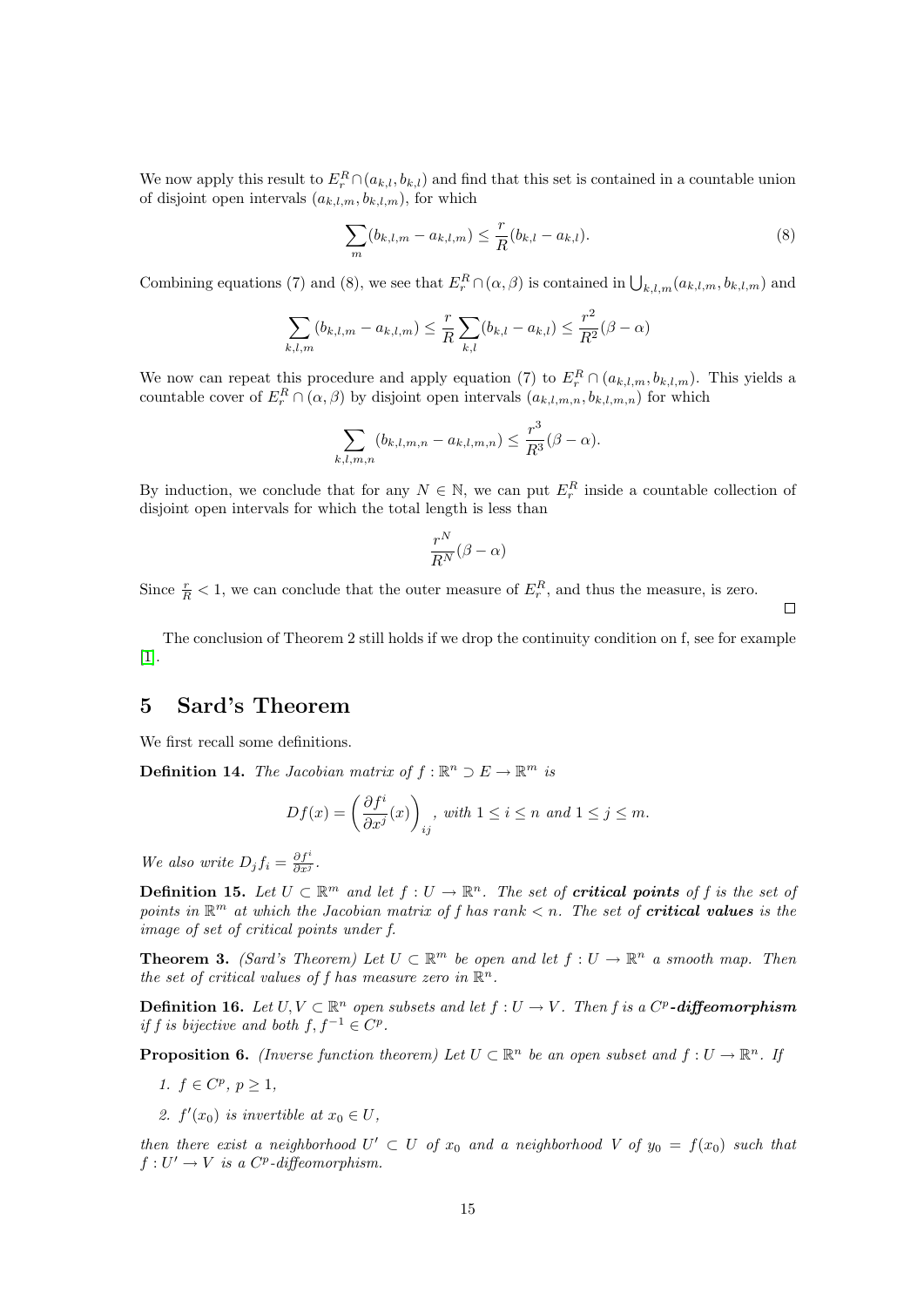We now apply this result to  $E_r^R \cap (a_{k,l}, b_{k,l})$  and find that this set is contained in a countable union of disjoint open intervals  $(a_{k,l,m}, b_{k,l,m})$ , for which

$$
\sum_{m} (b_{k,l,m} - a_{k,l,m}) \leq \frac{r}{R} (b_{k,l} - a_{k,l}).
$$
\n(8)

 $\Box$ 

Combining equations (7) and (8), we see that  $E_r^R \cap (\alpha, \beta)$  is contained in  $\bigcup_{k,l,m} (a_{k,l,m}, b_{k,l,m})$  and

$$
\sum_{k,l,m} (b_{k,l,m} - a_{k,l,m}) \leq \frac{r}{R} \sum_{k,l} (b_{k,l} - a_{k,l}) \leq \frac{r^2}{R^2} (\beta - \alpha)
$$

We now can repeat this procedure and apply equation (7) to  $E_r^R \cap (a_{k,l,m}, b_{k,l,m})$ . This yields a countable cover of  $E_r^R \cap (\alpha, \beta)$  by disjoint open intervals  $(a_{k,l,m,n}, b_{k,l,m,n})$  for which

$$
\sum_{k,l,m,n} (b_{k,l,m,n} - a_{k,l,m,n}) \le \frac{r^3}{R^3} (\beta - \alpha).
$$

By induction, we conclude that for any  $N \in \mathbb{N}$ , we can put  $E_r^R$  inside a countable collection of disjoint open intervals for which the total length is less than

$$
\frac{r^N}{R^N}(\beta-\alpha)
$$

Since  $\frac{r}{R}$  < 1, we can conclude that the outer measure of  $E_r^R$ , and thus the measure, is zero.

The conclusion of Theorem 2 still holds if we drop the continuity condition on f, see for example [\[1\]](#page-18-0).

### 5 Sard's Theorem

We first recall some definitions.

**Definition 14.** The Jacobian matrix of  $f : \mathbb{R}^n \supset E \to \mathbb{R}^m$  is

$$
Df(x) = \left(\frac{\partial f^i}{\partial x^j}(x)\right)_{ij}, \text{ with } 1 \le i \le n \text{ and } 1 \le j \le m.
$$

We also write  $D_j f_i = \frac{\partial f^i}{\partial x^j}$ .

**Definition 15.** Let  $U \subset \mathbb{R}^m$  and let  $f: U \to \mathbb{R}^n$ . The set of **critical points** of f is the set of points in  $\mathbb{R}^m$  at which the Jacobian matrix of f has rank  $\lt n$ . The set of **critical values** is the image of set of critical points under f.

**Theorem 3.** (Sard's Theorem) Let  $U \subset \mathbb{R}^m$  be open and let  $f: U \to \mathbb{R}^n$  a smooth map. Then the set of critical values of f has measure zero in  $\mathbb{R}^n$ .

**Definition 16.** Let  $U, V \subset \mathbb{R}^n$  open subsets and let  $f : U \to V$ . Then f is a  $C^p$ -diffeomorphism if f is bijective and both  $f, f^{-1} \in C^p$ .

**Proposition 6.** (Inverse function theorem) Let  $U \subset \mathbb{R}^n$  be an open subset and  $f: U \to \mathbb{R}^n$ . If

- 1.  $f \in C^p, p \ge 1$ ,
- 2.  $f'(x_0)$  is invertible at  $x_0 \in U$ ,

then there exist a neighborhood  $U' \subset U$  of  $x_0$  and a neighborhood V of  $y_0 = f(x_0)$  such that  $f: U' \to V$  is a  $C^p$ -diffeomorphism.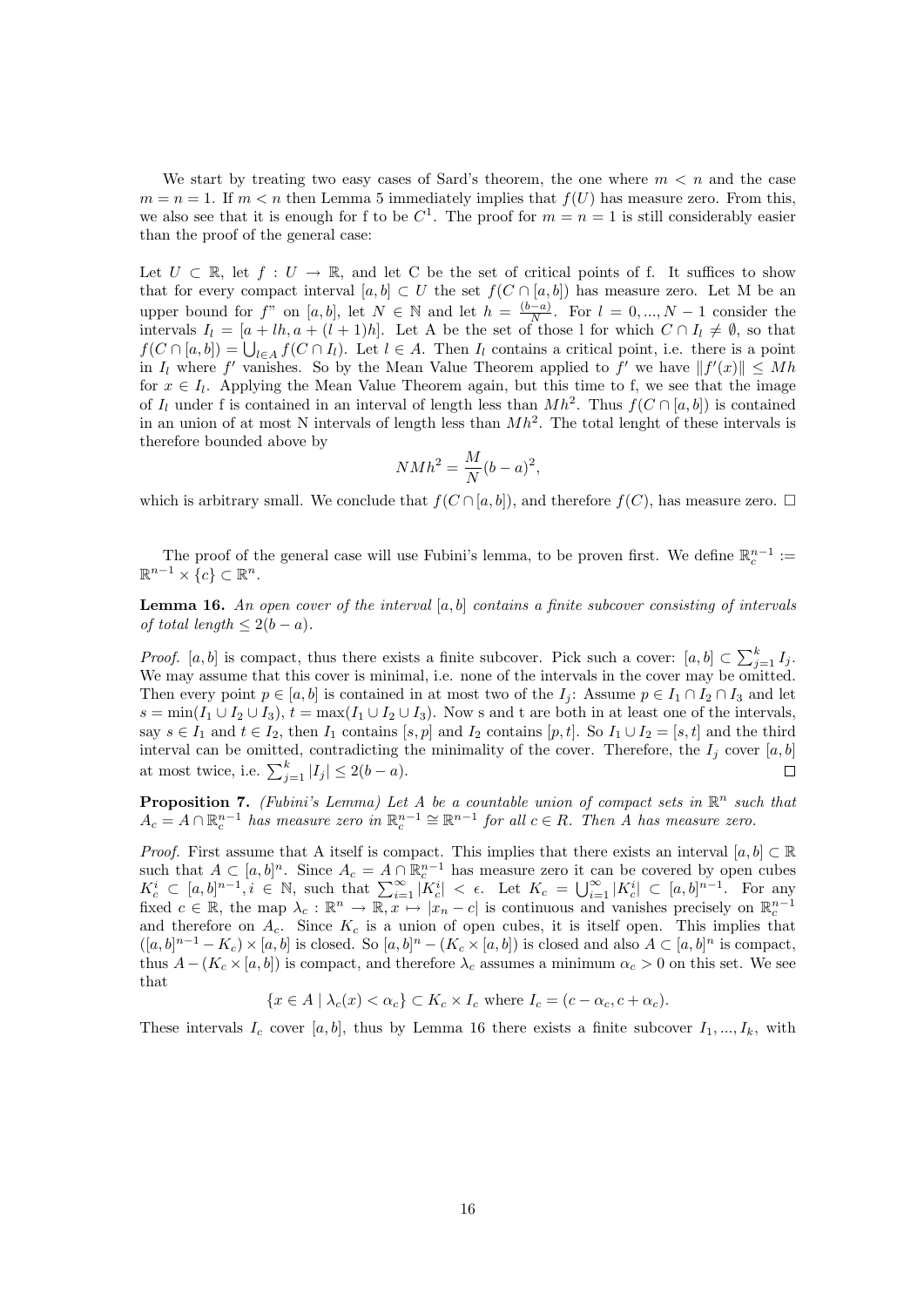We start by treating two easy cases of Sard's theorem, the one where  $m < n$  and the case  $m = n = 1$ . If  $m < n$  then Lemma 5 immediately implies that  $f(U)$  has measure zero. From this, we also see that it is enough for f to be  $C^1$ . The proof for  $m = n = 1$  is still considerably easier than the proof of the general case:

Let  $U \subset \mathbb{R}$ , let  $f: U \to \mathbb{R}$ , and let C be the set of critical points of f. It suffices to show that for every compact interval  $[a, b] \subset U$  the set  $f(C \cap [a, b])$  has measure zero. Let M be an upper bound for f" on [a, b], let  $N \in \mathbb{N}$  and let  $h = \frac{(b-a)}{N}$  $\frac{N}{N}$ . For  $l = 0, ..., N - 1$  consider the intervals  $I_l = [a + lh, a + (l + 1)h]$ . Let A be the set of those l for which  $C \cap I_l \neq \emptyset$ , so that  $f(C \cap [a, b]) = \bigcup_{l \in A} f(C \cap I_l)$ . Let  $l \in A$ . Then  $I_l$  contains a critical point, i.e. there is a point in  $I_l$  where f' vanishes. So by the Mean Value Theorem applied to f' we have  $||f'(x)|| \leq Mh$ for  $x \in I_l$ . Applying the Mean Value Theorem again, but this time to f, we see that the image of  $I_l$  under f is contained in an interval of length less than  $Mh^2$ . Thus  $f(C \cap [a, b])$  is contained in an union of at most N intervals of length less than  $Mh^2$ . The total lenght of these intervals is therefore bounded above by

$$
N M h^2 = \frac{M}{N} (b - a)^2,
$$

which is arbitrary small. We conclude that  $f(C \cap [a, b])$ , and therefore  $f(C)$ , has measure zero.  $\Box$ 

The proof of the general case will use Fubini's lemma, to be proven first. We define  $\mathbb{R}^{n-1}_c$  :=  $\mathbb{R}^{n-1} \times \{c\} \subset \mathbb{R}^n$ .

**Lemma 16.** An open cover of the interval  $[a, b]$  contains a finite subcover consisting of intervals of total length  $\leq 2(b-a)$ .

*Proof.* [a, b] is compact, thus there exists a finite subcover. Pick such a cover:  $[a, b] \subset \sum_{j=1}^{k} I_j$ . We may assume that this cover is minimal, i.e. none of the intervals in the cover may be omitted. Then every point  $p \in [a, b]$  is contained in at most two of the  $I_i$ : Assume  $p \in I_1 \cap I_2 \cap I_3$  and let  $s = \min(I_1 \cup I_2 \cup I_3), t = \max(I_1 \cup I_2 \cup I_3)$ . Now s and t are both in at least one of the intervals, say  $s \in I_1$  and  $t \in I_2$ , then  $I_1$  contains  $[s, p]$  and  $I_2$  contains  $[p, t]$ . So  $I_1 \cup I_2 = [s, t]$  and the third interval can be omitted, contradicting the minimality of the cover. Therefore, the  $I_j$  cover  $[a, b]$ at most twice, i.e.  $\sum_{j=1}^{k} |I_j| \leq 2(b-a)$ .  $\Box$ 

**Proposition 7.** (Fubini's Lemma) Let A be a countable union of compact sets in  $\mathbb{R}^n$  such that  $A_c = A \cap \mathbb{R}_c^{n-1}$  has measure zero in  $\mathbb{R}_c^{n-1} \cong \mathbb{R}^{n-1}$  for all  $c \in R$ . Then A has measure zero.

*Proof.* First assume that A itself is compact. This implies that there exists an interval  $[a, b] \subset \mathbb{R}$ such that  $A \subset [a, b]^n$ . Since  $A_c = A \cap \mathbb{R}_c^{n-1}$  has measure zero it can be covered by open cubes  $K_c^i \subset [a, b]^{n-1}, i \in \mathbb{N}$ , such that  $\sum_{i=1}^{\infty} |K_c^i| < \epsilon$ . Let  $K_c = \bigcup_{i=1}^{\infty} |K_c^i| \subset [a, b]^{n-1}$ . For any fixed  $c \in \mathbb{R}$ , the map  $\lambda_c : \mathbb{R}^n \to \overline{\mathbb{R}, x \mapsto |x_n - c|}$  is continuous and vanishes precisely on  $\mathbb{R}^{n-1}_c$ and therefore on  $A_c$ . Since  $K_c$  is a union of open cubes, it is itself open. This implies that  $([a, b]^{n-1} - K_c) \times [a, b]$  is closed. So  $[a, b]^{n} - (K_c \times [a, b])$  is closed and also  $A \subset [a, b]^{n}$  is compact, thus  $A - (K_c \times [a, b])$  is compact, and therefore  $\lambda_c$  assumes a minimum  $\alpha_c > 0$  on this set. We see that

$$
\{x \in A \mid \lambda_c(x) < \alpha_c\} \subset K_c \times I_c \text{ where } I_c = (c - \alpha_c, c + \alpha_c).
$$

These intervals  $I_c$  cover [a, b], thus by Lemma 16 there exists a finite subcover  $I_1, ..., I_k$ , with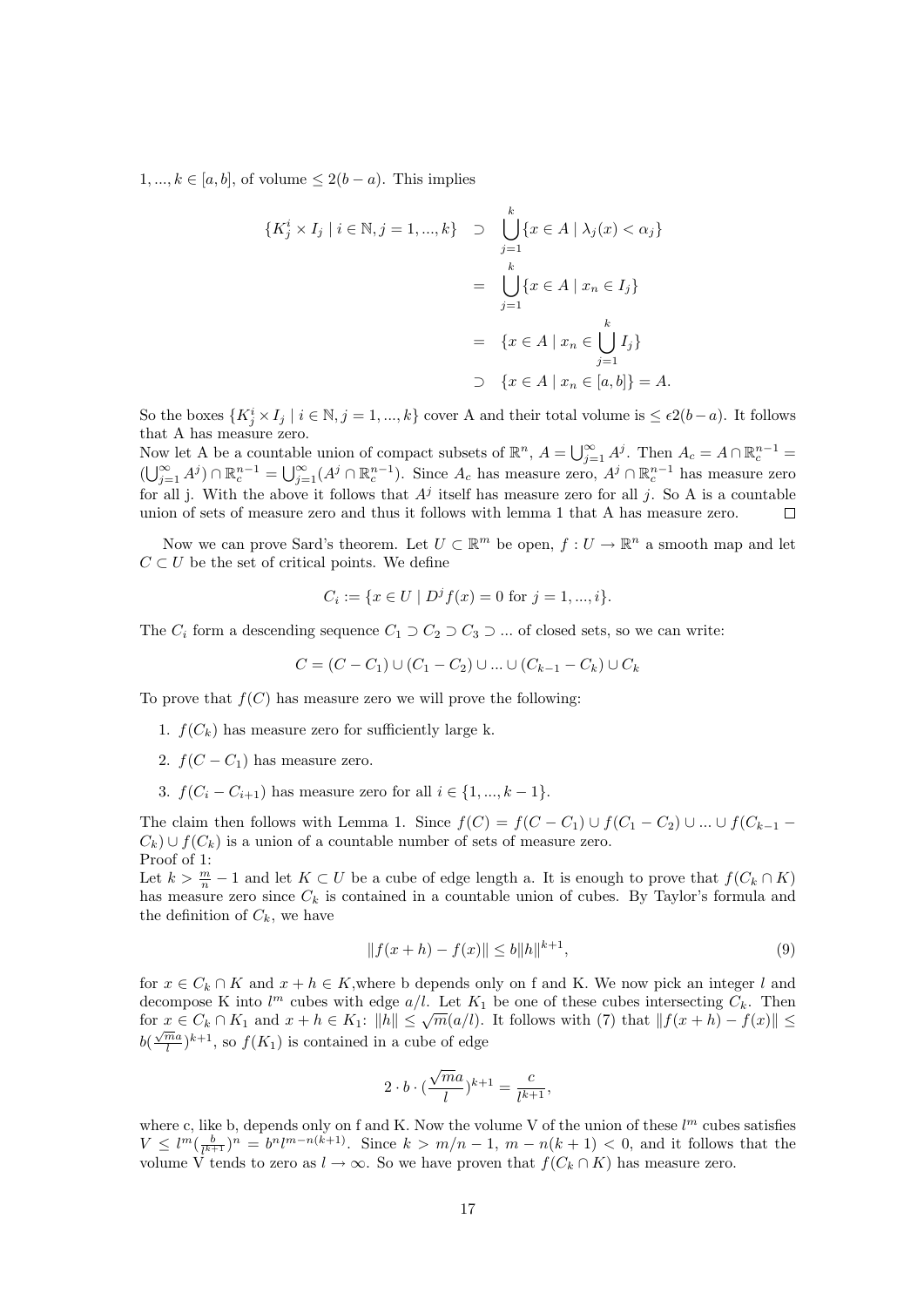$1, ..., k \in [a, b]$ , of volume  $\leq 2(b - a)$ . This implies

$$
\{K_j^i \times I_j \mid i \in \mathbb{N}, j = 1, ..., k\} \supset \bigcup_{j=1}^k \{x \in A \mid \lambda_j(x) < \alpha_j\}
$$
\n
$$
= \bigcup_{j=1}^k \{x \in A \mid x_n \in I_j\}
$$
\n
$$
= \{x \in A \mid x_n \in \bigcup_{j=1}^k I_j\}
$$
\n
$$
\supset \{x \in A \mid x_n \in [a, b]\} = A.
$$

So the boxes  $\{K_j^i \times I_j \mid i \in \mathbb{N}, j = 1, ..., k\}$  cover A and their total volume is  $\leq \epsilon 2(b-a)$ . It follows that A has measure zero.

Now let A be a countable union of compact subsets of  $\mathbb{R}^n$ ,  $A = \bigcup_{j=1}^{\infty} A^j$ . Then  $A_c = A \cap \mathbb{R}_c^{n-1}$  $(\bigcup_{j=1}^{\infty} A^j) \cap \mathbb{R}_c^{n-1} = \bigcup_{j=1}^{\infty} (A^j \cap \mathbb{R}_c^{n-1})$ . Since  $A_c$  has measure zero,  $A^j \cap \mathbb{R}_c^{n-1}$  has measure zero for all j. With the above it follows that  $A^j$  itself has measure zero for all j. So A is a countable union of sets of measure zero and thus it follows with lemma 1 that A has measure zero.  $\Box$ 

Now we can prove Sard's theorem. Let  $U \subset \mathbb{R}^m$  be open,  $f: U \to \mathbb{R}^n$  a smooth map and let  $C \subset U$  be the set of critical points. We define

$$
C_i := \{ x \in U \mid D^j f(x) = 0 \text{ for } j = 1, ..., i \}.
$$

The  $C_i$  form a descending sequence  $C_1 \supset C_2 \supset C_3 \supset \dots$  of closed sets, so we can write:

$$
C = (C - C_1) \cup (C_1 - C_2) \cup ... \cup (C_{k-1} - C_k) \cup C_k
$$

To prove that  $f(C)$  has measure zero we will prove the following:

- 1.  $f(C_k)$  has measure zero for sufficiently large k.
- 2.  $f(C C_1)$  has measure zero.
- 3.  $f(C_i C_{i+1})$  has measure zero for all  $i \in \{1, ..., k-1\}$ .

The claim then follows with Lemma 1. Since  $f(C) = f(C - C_1) \cup f(C_1 - C_2) \cup ... \cup f(C_{k-1} - C_k)$  $C_k$ ) ∪  $f(C_k)$  is a union of a countable number of sets of measure zero. Proof of 1:

Let  $k > \frac{m}{n} - 1$  and let  $K \subset U$  be a cube of edge length a. It is enough to prove that  $f(C_k \cap K)$ has measure zero since  $C_k$  is contained in a countable union of cubes. By Taylor's formula and the definition of  $C_k$ , we have

$$
||f(x+h) - f(x)|| \le b||h||^{k+1},\tag{9}
$$

for  $x \in C_k \cap K$  and  $x + h \in K$ , where b depends only on f and K. We now pick an integer l and decompose K into  $l^m$  cubes with edge  $a/l$ . Let  $K_1$  be one of these cubes intersecting  $C_k$ . Then for  $x \in C_k \cap K_1$  and  $x + h \in K_1$ :  $||h|| \leq \sqrt{m}(a/l)$ . It follows with (7) that  $||f(x+h) - f(x)|| \leq$  $b(\frac{\sqrt{m}a}{l})$  $\frac{m a}{l}$ , so  $f(K_1)$  is contained in a cube of edge

$$
2\cdot b\cdot (\frac{\sqrt{m}a}{l})^{k+1}=\frac{c}{l^{k+1}},
$$

where c, like b, depends only on f and K. Now the volume V of the union of these  $l^m$  cubes satisfies  $V \leq l^{m}(\frac{b}{l^{k+1}})^{n} = b^{n}l^{m-n(k+1)}$ . Since  $k > m/n - 1$ ,  $m - n(k+1) < 0$ , and it follows that the volume V tends to zero as  $l \to \infty$ . So we have proven that  $f(C_k \cap K)$  has measure zero.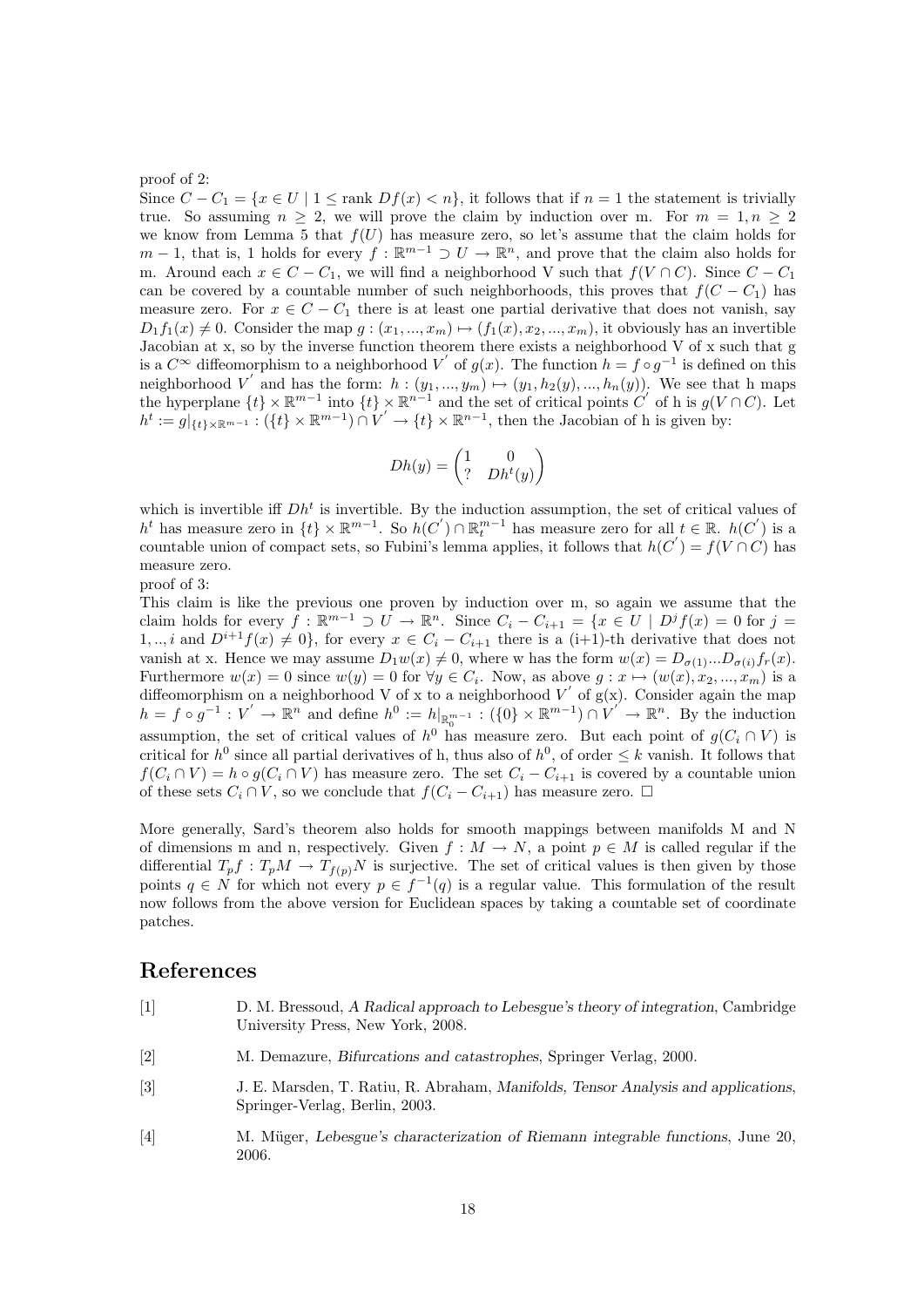#### proof of 2:

Since  $C - C_1 = \{x \in U \mid 1 \leq \text{rank } Df(x) < n\}$ , it follows that if  $n = 1$  the statement is trivially true. So assuming  $n > 2$ , we will prove the claim by induction over m. For  $m = 1, n > 2$ we know from Lemma 5 that  $f(U)$  has measure zero, so let's assume that the claim holds for  $m-1$ , that is, 1 holds for every  $f : \mathbb{R}^{m-1} \supset U \to \mathbb{R}^n$ , and prove that the claim also holds for m. Around each  $x \in C - C_1$ , we will find a neighborhood V such that  $f(V \cap C)$ . Since  $C - C_1$ can be covered by a countable number of such neighborhoods, this proves that  $f(C - C_1)$  has measure zero. For  $x \in C - C_1$  there is at least one partial derivative that does not vanish, say  $D_1f_1(x) \neq 0$ . Consider the map  $g : (x_1, ..., x_m) \mapsto (f_1(x), x_2, ..., x_m)$ , it obviously has an invertible Jacobian at x, so by the inverse function theorem there exists a neighborhood V of x such that g is a  $C^{\infty}$  diffeomorphism to a neighborhood V' of  $g(x)$ . The function  $h = f \circ g^{-1}$  is defined on this neighborhood V' and has the form:  $h : (y_1, ..., y_m) \mapsto (y_1, h_2(y), ..., h_n(y))$ . We see that h maps the hyperplane  $\{t\} \times \mathbb{R}^{m-1}$  into  $\{t\} \times \mathbb{R}^{n-1}$  and the set of critical points C' of h is  $g(V \cap C)$ . Let  $h^t := g|_{\{t\}\times\mathbb{R}^{m-1}}: (\{t\}\times\mathbb{R}^{m-1})\cap V' \to \{t\}\times\mathbb{R}^{n-1}$ , then the Jacobian of h is given by:

$$
Dh(y) = \begin{pmatrix} 1 & 0 \\ ? & Dh^t(y) \end{pmatrix}
$$

which is invertible iff  $Dh<sup>t</sup>$  is invertible. By the induction assumption, the set of critical values of  $h^t$  has measure zero in  $\{t\} \times \mathbb{R}^{m-1}$ . So  $h(C') \cap \mathbb{R}^{m-1}$  has measure zero for all  $t \in \mathbb{R}$ .  $h(C')$  is a countable union of compact sets, so Fubini's lemma applies, it follows that  $h(C') = f(V \cap C)$  has measure zero.

proof of 3:

This claim is like the previous one proven by induction over m, so again we assume that the claim holds for every  $\bar{f}: \mathbb{R}^{m-1} \supset U \to \mathbb{R}^n$ . Since  $C_i - C_{i+1} = \{x \in U \mid D^j f(x) = 0 \text{ for } j = 1\}$ 1, .., i and  $D^{i+1}f(x) \neq 0$ , for every  $x \in C_i - C_{i+1}$  there is a (i+1)-th derivative that does not vanish at x. Hence we may assume  $D_1w(x) \neq 0$ , where w has the form  $w(x) = D_{\sigma(1)}...D_{\sigma(i)}f_r(x)$ . Furthermore  $w(x) = 0$  since  $w(y) = 0$  for  $\forall y \in C_i$ . Now, as above  $g: x \mapsto (w(x), x_2, ..., x_m)$  is a diffeomorphism on a neighborhood V of x to a neighborhood V' of  $g(x)$ . Consider again the map  $h = f \circ g^{-1} : V' \to \mathbb{R}^n$  and define  $h^0 := h|_{\mathbb{R}_0^{m-1}} : (\{0\} \times \mathbb{R}^{m-1}) \cap V' \to \mathbb{R}^n$ . By the induction assumption, the set of critical values of  $h^0$  has measure zero. But each point of  $g(C_i \cap V)$  is critical for  $h^0$  since all partial derivatives of h, thus also of  $h^0$ , of order  $\leq k$  vanish. It follows that  $f(C_i \cap V) = h \circ g(C_i \cap V)$  has measure zero. The set  $C_i - C_{i+1}$  is covered by a countable union of these sets  $C_i \cap V$ , so we conclude that  $f(C_i - C_{i+1})$  has measure zero.  $\Box$ 

More generally, Sard's theorem also holds for smooth mappings between manifolds M and N of dimensions m and n, respectively. Given  $f : M \to N$ , a point  $p \in M$  is called regular if the differential  $T_p f : T_p M \to T_{f(p)} N$  is surjective. The set of critical values is then given by those points  $q \in N$  for which not every  $p \in f^{-1}(q)$  is a regular value. This formulation of the result now follows from the above version for Euclidean spaces by taking a countable set of coordinate patches.

#### References

- <span id="page-18-0"></span>[1] D. M. Bressoud, A Radical approach to Lebesgue's theory of integration, Cambridge University Press, New York, 2008.
- [2] M. Demazure, Bifurcations and catastrophes, Springer Verlag, 2000.
- [3] J. E. Marsden, T. Ratiu, R. Abraham, Manifolds, Tensor Analysis and applications, Springer-Verlag, Berlin, 2003.
- [4] M. M¨uger, Lebesgue's characterization of Riemann integrable functions, June 20, 2006.